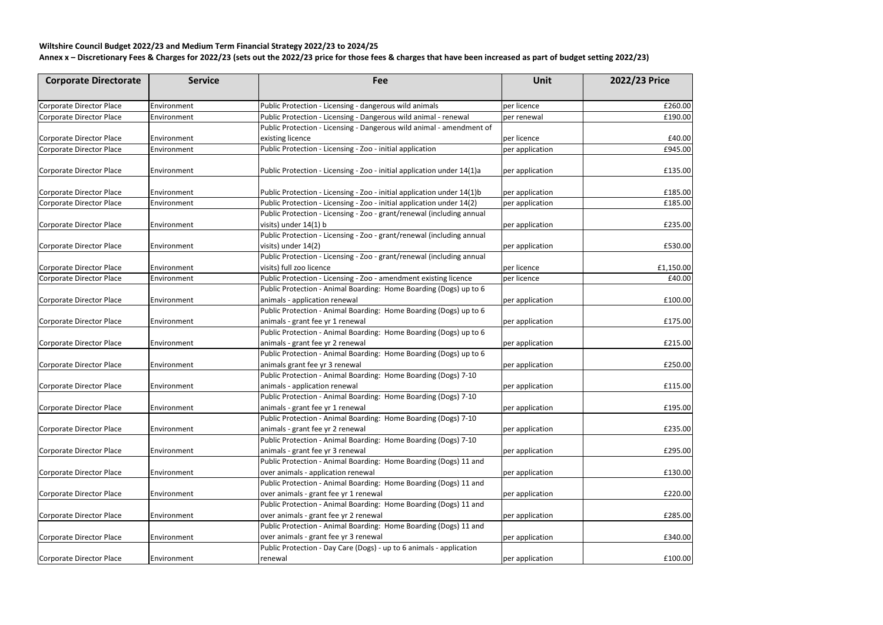## **Wiltshire Council Budget 2022/23 and Medium Term Financial Strategy 2022/23 to 2024/25**

## **Annex x – Discretionary Fees & Charges for 2022/23 (sets out the 2022/23 price for those fees & charges that have been increased as part of budget setting 2022/23)**

| <b>Corporate Directorate</b>    | <b>Service</b>     | Fee                                                                    | Unit            | 2022/23 Price |
|---------------------------------|--------------------|------------------------------------------------------------------------|-----------------|---------------|
| Corporate Director Place        | Environment        | Public Protection - Licensing - dangerous wild animals                 | per licence     | £260.00       |
| <b>Corporate Director Place</b> | Environment        | Public Protection - Licensing - Dangerous wild animal - renewal        | per renewal     | £190.00       |
|                                 |                    | Public Protection - Licensing - Dangerous wild animal - amendment of   |                 |               |
| Corporate Director Place        | Environment        | existing licence                                                       | per licence     | £40.00        |
| Corporate Director Place        | Environment        | Public Protection - Licensing - Zoo - initial application              | per application | £945.00       |
| Corporate Director Place        | Environment        | Public Protection - Licensing - Zoo - initial application under 14(1)a | per application | £135.00       |
| Corporate Director Place        | Environment        | Public Protection - Licensing - Zoo - initial application under 14(1)b | per application | £185.00       |
| Corporate Director Place        | Environment        | Public Protection - Licensing - Zoo - initial application under 14(2)  | per application | £185.00       |
|                                 |                    | Public Protection - Licensing - Zoo - grant/renewal (including annual  |                 |               |
| Corporate Director Place        | <b>Environment</b> | visits) under 14(1) b                                                  | per application | £235.00       |
|                                 |                    | Public Protection - Licensing - Zoo - grant/renewal (including annual  |                 |               |
| Corporate Director Place        | Environment        | visits) under 14(2)                                                    | per application | £530.00       |
|                                 |                    | Public Protection - Licensing - Zoo - grant/renewal (including annual  |                 |               |
| Corporate Director Place        | Environment        | visits) full zoo licence                                               | per licence     | £1,150.00     |
| Corporate Director Place        | Environment        | Public Protection - Licensing - Zoo - amendment existing licence       | per licence     | £40.00        |
|                                 |                    | Public Protection - Animal Boarding: Home Boarding (Dogs) up to 6      |                 |               |
| Corporate Director Place        | Environment        | animals - application renewal                                          | per application | £100.00       |
|                                 |                    | Public Protection - Animal Boarding: Home Boarding (Dogs) up to 6      |                 |               |
| Corporate Director Place        | Environment        | animals - grant fee yr 1 renewal                                       | per application | £175.00       |
|                                 |                    | Public Protection - Animal Boarding: Home Boarding (Dogs) up to 6      |                 |               |
| Corporate Director Place        | Environment        | animals - grant fee yr 2 renewal                                       | per application | £215.00       |
|                                 |                    | Public Protection - Animal Boarding: Home Boarding (Dogs) up to 6      |                 |               |
| Corporate Director Place        | Environment        | animals grant fee yr 3 renewal                                         | per application | £250.00       |
|                                 |                    | Public Protection - Animal Boarding: Home Boarding (Dogs) 7-10         |                 |               |
| Corporate Director Place        | Environment        | animals - application renewal                                          | per application | £115.00       |
|                                 |                    | Public Protection - Animal Boarding: Home Boarding (Dogs) 7-10         |                 |               |
| Corporate Director Place        | Environment        | animals - grant fee yr 1 renewal                                       | per application | £195.00       |
|                                 |                    | Public Protection - Animal Boarding: Home Boarding (Dogs) 7-10         |                 |               |
| Corporate Director Place        | Environment        | animals - grant fee yr 2 renewal                                       | per application | £235.00       |
|                                 |                    | Public Protection - Animal Boarding: Home Boarding (Dogs) 7-10         |                 |               |
| Corporate Director Place        | Environment        | animals - grant fee yr 3 renewal                                       | per application | £295.00       |
|                                 |                    | Public Protection - Animal Boarding: Home Boarding (Dogs) 11 and       |                 |               |
| Corporate Director Place        | Environment        | over animals - application renewal                                     | per application | £130.00       |
|                                 |                    | Public Protection - Animal Boarding: Home Boarding (Dogs) 11 and       |                 |               |
| Corporate Director Place        | Environment        | over animals - grant fee yr 1 renewal                                  | per application | £220.00       |
|                                 |                    | Public Protection - Animal Boarding: Home Boarding (Dogs) 11 and       |                 |               |
| Corporate Director Place        | Environment        | over animals - grant fee yr 2 renewal                                  | per application | £285.00       |
|                                 |                    | Public Protection - Animal Boarding: Home Boarding (Dogs) 11 and       |                 |               |
| Corporate Director Place        | Environment        | over animals - grant fee yr 3 renewal                                  | per application | £340.00       |
|                                 |                    | Public Protection - Day Care (Dogs) - up to 6 animals - application    |                 |               |
|                                 |                    |                                                                        |                 |               |
| Corporate Director Place        | Environment        | renewal                                                                | per application | £100.00       |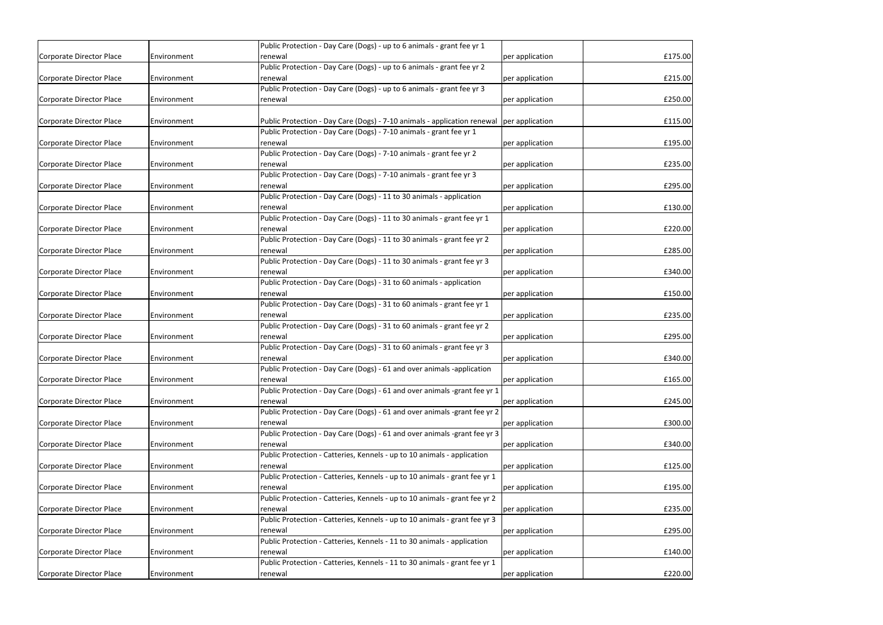|                          |             | Public Protection - Day Care (Dogs) - up to 6 animals - grant fee yr 1     |                 |         |
|--------------------------|-------------|----------------------------------------------------------------------------|-----------------|---------|
| Corporate Director Place | Environment | renewal                                                                    | per application | £175.00 |
|                          |             | Public Protection - Day Care (Dogs) - up to 6 animals - grant fee yr 2     |                 |         |
| Corporate Director Place | Environment | renewal                                                                    | per application | £215.00 |
|                          |             | Public Protection - Day Care (Dogs) - up to 6 animals - grant fee yr 3     |                 |         |
| Corporate Director Place | Environment | renewal                                                                    | per application | £250.00 |
|                          |             |                                                                            |                 |         |
| Corporate Director Place | Environment | Public Protection - Day Care (Dogs) - 7-10 animals - application renewal   | per application | £115.00 |
|                          |             | Public Protection - Day Care (Dogs) - 7-10 animals - grant fee yr 1        |                 |         |
| Corporate Director Place | Environment | renewal                                                                    | per application | £195.00 |
|                          |             | Public Protection - Day Care (Dogs) - 7-10 animals - grant fee yr 2        |                 |         |
| Corporate Director Place | Environment | renewal                                                                    | per application | £235.00 |
|                          |             | Public Protection - Day Care (Dogs) - 7-10 animals - grant fee yr 3        |                 |         |
| Corporate Director Place | Environment | renewal                                                                    | per application | £295.00 |
|                          |             | Public Protection - Day Care (Dogs) - 11 to 30 animals - application       |                 |         |
| Corporate Director Place | Environment | renewal                                                                    | per application | £130.00 |
|                          |             | Public Protection - Day Care (Dogs) - 11 to 30 animals - grant fee yr 1    |                 |         |
| Corporate Director Place | Environment | renewal                                                                    | per application | £220.00 |
|                          |             | Public Protection - Day Care (Dogs) - 11 to 30 animals - grant fee yr 2    |                 |         |
| Corporate Director Place | Environment | renewal                                                                    | per application | £285.00 |
|                          |             | Public Protection - Day Care (Dogs) - 11 to 30 animals - grant fee yr 3    |                 |         |
| Corporate Director Place | Environment | renewal                                                                    | per application | £340.00 |
|                          |             | Public Protection - Day Care (Dogs) - 31 to 60 animals - application       |                 |         |
| Corporate Director Place | Environment | renewal                                                                    | per application | £150.00 |
|                          |             | Public Protection - Day Care (Dogs) - 31 to 60 animals - grant fee yr 1    |                 |         |
| Corporate Director Place | Environment | renewal                                                                    | per application | £235.00 |
|                          |             | Public Protection - Day Care (Dogs) - 31 to 60 animals - grant fee yr 2    |                 |         |
| Corporate Director Place | Environment | renewal                                                                    | per application | £295.00 |
|                          |             | Public Protection - Day Care (Dogs) - 31 to 60 animals - grant fee yr 3    |                 |         |
| Corporate Director Place | Environment | renewal                                                                    | per application | £340.00 |
|                          |             | Public Protection - Day Care (Dogs) - 61 and over animals -application     |                 |         |
| Corporate Director Place | Environment | renewal                                                                    | per application | £165.00 |
|                          |             | Public Protection - Day Care (Dogs) - 61 and over animals -grant fee yr 1  |                 |         |
| Corporate Director Place | Environment | renewal                                                                    | per application | £245.00 |
|                          |             | Public Protection - Day Care (Dogs) - 61 and over animals -grant fee yr 2  |                 |         |
| Corporate Director Place | Environment | renewal                                                                    | per application | £300.00 |
|                          |             | Public Protection - Day Care (Dogs) - 61 and over animals -grant fee yr 3  |                 |         |
| Corporate Director Place | Environment | renewal                                                                    | per application | £340.00 |
|                          |             | Public Protection - Catteries, Kennels - up to 10 animals - application    |                 |         |
| Corporate Director Place | Environment | renewal                                                                    | per application | £125.00 |
|                          |             | Public Protection - Catteries, Kennels - up to 10 animals - grant fee yr 1 |                 |         |
| Corporate Director Place | Environment | renewal                                                                    | per application | £195.00 |
|                          |             | Public Protection - Catteries, Kennels - up to 10 animals - grant fee yr 2 |                 |         |
| Corporate Director Place | Environment | renewal                                                                    | per application | £235.00 |
|                          |             | Public Protection - Catteries, Kennels - up to 10 animals - grant fee yr 3 |                 |         |
| Corporate Director Place | Environment | renewal                                                                    | per application | £295.00 |
|                          |             | Public Protection - Catteries, Kennels - 11 to 30 animals - application    |                 |         |
| Corporate Director Place | Environment | renewal                                                                    | per application | £140.00 |
|                          |             | Public Protection - Catteries, Kennels - 11 to 30 animals - grant fee yr 1 |                 |         |
| Corporate Director Place | Environment | renewal                                                                    | per application | £220.00 |
|                          |             |                                                                            |                 |         |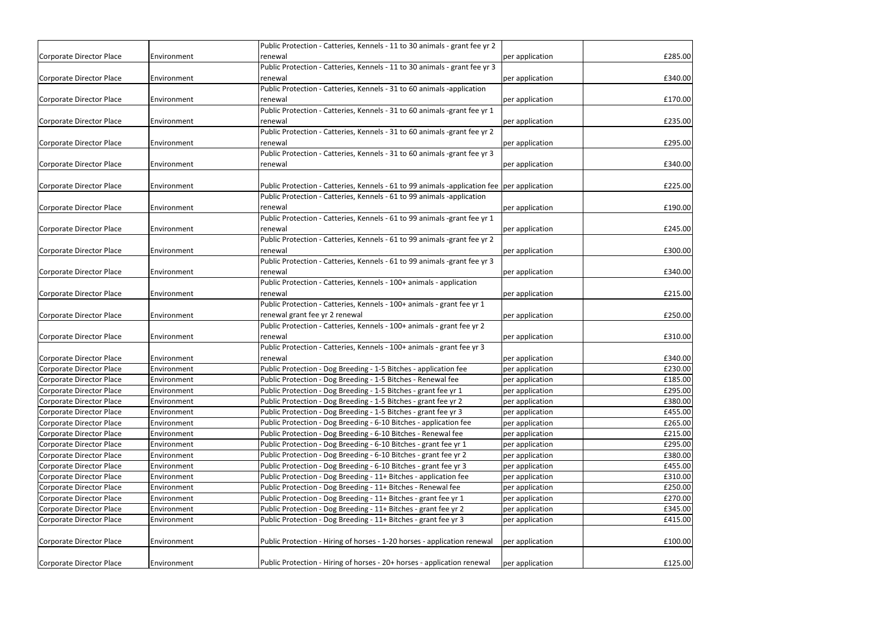|                                 |                                    | Public Protection - Catteries, Kennels - 11 to 30 animals - grant fee yr 2                                                       |                                    |         |
|---------------------------------|------------------------------------|----------------------------------------------------------------------------------------------------------------------------------|------------------------------------|---------|
| Corporate Director Place        | Environment                        | renewal                                                                                                                          | per application                    | £285.00 |
|                                 |                                    | Public Protection - Catteries, Kennels - 11 to 30 animals - grant fee yr 3                                                       |                                    |         |
| Corporate Director Place        | Environment                        | renewal                                                                                                                          | per application                    | £340.00 |
|                                 |                                    | Public Protection - Catteries, Kennels - 31 to 60 animals -application                                                           |                                    |         |
| Corporate Director Place        | Environment                        | renewal                                                                                                                          | per application                    | £170.00 |
|                                 |                                    | Public Protection - Catteries, Kennels - 31 to 60 animals -grant fee yr 1                                                        |                                    |         |
| Corporate Director Place        | Environment                        | renewal                                                                                                                          | per application                    | £235.00 |
|                                 |                                    | Public Protection - Catteries, Kennels - 31 to 60 animals -grant fee yr 2                                                        |                                    |         |
| Corporate Director Place        | <b>Environment</b>                 | renewal                                                                                                                          | per application                    | £295.00 |
|                                 |                                    | Public Protection - Catteries, Kennels - 31 to 60 animals -grant fee yr 3                                                        |                                    |         |
| Corporate Director Place        | Environment                        | renewal                                                                                                                          | per application                    | £340.00 |
|                                 |                                    |                                                                                                                                  |                                    |         |
| Corporate Director Place        | <b>IEnvironment</b>                | Public Protection - Catteries, Kennels - 61 to 99 animals -application fee   per application                                     |                                    | £225.00 |
|                                 |                                    | Public Protection - Catteries, Kennels - 61 to 99 animals -application                                                           |                                    |         |
| Corporate Director Place        | Environment                        | renewal                                                                                                                          | per application                    | £190.00 |
|                                 |                                    | Public Protection - Catteries, Kennels - 61 to 99 animals -grant fee yr 1                                                        |                                    |         |
| Corporate Director Place        | Environment                        | renewal                                                                                                                          | per application                    | £245.00 |
|                                 |                                    | Public Protection - Catteries, Kennels - 61 to 99 animals -grant fee yr 2                                                        |                                    |         |
| Corporate Director Place        | Environment                        | renewal                                                                                                                          | per application                    | £300.00 |
|                                 |                                    | Public Protection - Catteries, Kennels - 61 to 99 animals -grant fee yr 3                                                        |                                    |         |
| Corporate Director Place        | Environment                        | renewal                                                                                                                          | per application                    | £340.00 |
|                                 |                                    | Public Protection - Catteries, Kennels - 100+ animals - application                                                              |                                    |         |
| Corporate Director Place        | Environment                        | renewal                                                                                                                          | per application                    | £215.00 |
|                                 |                                    | Public Protection - Catteries, Kennels - 100+ animals - grant fee yr 1                                                           |                                    |         |
| Corporate Director Place        | <b>Environment</b>                 | renewal grant fee yr 2 renewal                                                                                                   | per application                    | £250.00 |
|                                 |                                    | Public Protection - Catteries, Kennels - 100+ animals - grant fee yr 2                                                           |                                    |         |
| Corporate Director Place        | <b>IEnvironment</b>                | renewal<br>Public Protection - Catteries, Kennels - 100+ animals - grant fee yr 3                                                | per application                    | £310.00 |
| Corporate Director Place        |                                    |                                                                                                                                  |                                    | £340.00 |
| Corporate Director Place        | Environment<br><b>IEnvironment</b> | renewal                                                                                                                          | per application                    | £230.00 |
| Corporate Director Place        | Environment                        | Public Protection - Dog Breeding - 1-5 Bitches - application fee<br>Public Protection - Dog Breeding - 1-5 Bitches - Renewal fee | per application<br>per application | £185.00 |
| Corporate Director Place        | Environment                        | Public Protection - Dog Breeding - 1-5 Bitches - grant fee yr 1                                                                  | per application                    | £295.00 |
| <b>Corporate Director Place</b> | Environment                        | Public Protection - Dog Breeding - 1-5 Bitches - grant fee yr 2                                                                  | per application                    | £380.00 |
| <b>Corporate Director Place</b> | Environment                        | Public Protection - Dog Breeding - 1-5 Bitches - grant fee yr 3                                                                  | per application                    | £455.00 |
| <b>Corporate Director Place</b> | Environment                        | Public Protection - Dog Breeding - 6-10 Bitches - application fee                                                                | per application                    | £265.00 |
| <b>Corporate Director Place</b> | Environment                        | Public Protection - Dog Breeding - 6-10 Bitches - Renewal fee                                                                    | per application                    | £215.00 |
| <b>Corporate Director Place</b> | Environment                        | Public Protection - Dog Breeding - 6-10 Bitches - grant fee yr 1                                                                 |                                    | £295.00 |
| Corporate Director Place        | Environment                        | Public Protection - Dog Breeding - 6-10 Bitches - grant fee yr 2                                                                 | per application<br>per application | £380.00 |
| Corporate Director Place        | Environment                        | Public Protection - Dog Breeding - 6-10 Bitches - grant fee yr 3                                                                 | per application                    | £455.00 |
| <b>Corporate Director Place</b> | Environment                        | Public Protection - Dog Breeding - 11+ Bitches - application fee                                                                 | per application                    | £310.00 |
| <b>Corporate Director Place</b> |                                    | Public Protection - Dog Breeding - 11+ Bitches - Renewal fee                                                                     |                                    | £250.00 |
| <b>Corporate Director Place</b> | Environment<br>Environment         | Public Protection - Dog Breeding - 11+ Bitches - grant fee yr 1                                                                  | per application                    | £270.00 |
| <b>Corporate Director Place</b> | Environment                        | Public Protection - Dog Breeding - 11+ Bitches - grant fee yr 2                                                                  | per application                    | £345.00 |
|                                 |                                    | Public Protection - Dog Breeding - 11+ Bitches - grant fee yr 3                                                                  | per application                    | £415.00 |
| Corporate Director Place        | Environment                        |                                                                                                                                  | per application                    |         |
| Corporate Director Place        | Environment                        | Public Protection - Hiring of horses - 1-20 horses - application renewal                                                         | per application                    | £100.00 |
|                                 |                                    |                                                                                                                                  |                                    |         |
| Corporate Director Place        | Environment                        | Public Protection - Hiring of horses - 20+ horses - application renewal                                                          | per application                    | £125.00 |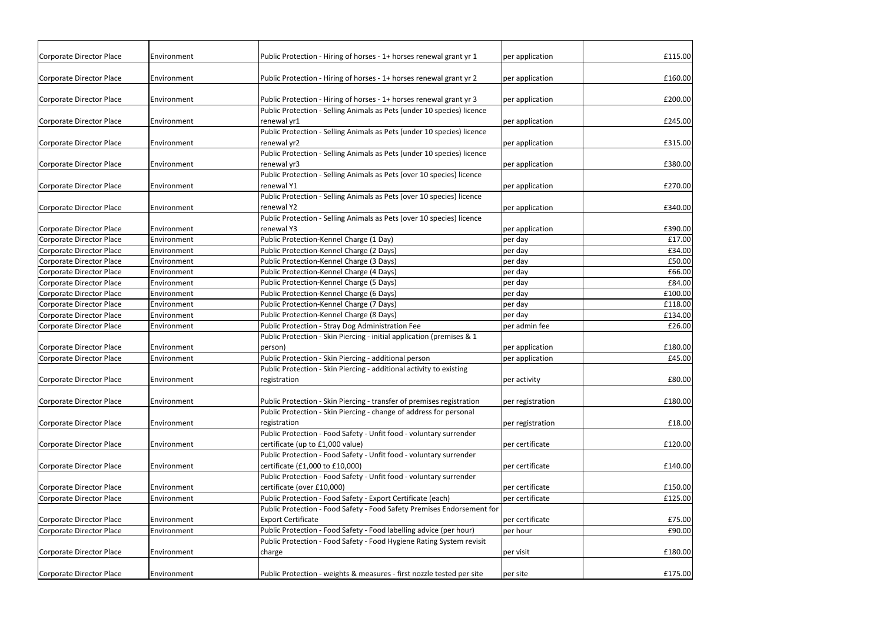| Corporate Director Place        | <b>Environment</b>  | Public Protection - Hiring of horses - 1+ horses renewal grant yr 1    | per application  | £115.00 |
|---------------------------------|---------------------|------------------------------------------------------------------------|------------------|---------|
|                                 |                     |                                                                        |                  |         |
| Corporate Director Place        | Environment         | Public Protection - Hiring of horses - 1+ horses renewal grant yr 2    | per application  | £160.00 |
| Corporate Director Place        | Environment         | Public Protection - Hiring of horses - 1+ horses renewal grant yr 3    | per application  | £200.00 |
|                                 |                     | Public Protection - Selling Animals as Pets (under 10 species) licence |                  |         |
| Corporate Director Place        | Environment         | renewal yr1                                                            | per application  | £245.00 |
|                                 |                     | Public Protection - Selling Animals as Pets (under 10 species) licence |                  |         |
| Corporate Director Place        | <b>IEnvironment</b> | renewal yr2                                                            | per application  | £315.00 |
|                                 |                     | Public Protection - Selling Animals as Pets (under 10 species) licence |                  |         |
| Corporate Director Place        | Environment         | renewal yr3                                                            | per application  | £380.00 |
|                                 |                     | Public Protection - Selling Animals as Pets (over 10 species) licence  |                  |         |
| Corporate Director Place        | Environment         | renewal Y1                                                             | per application  | £270.00 |
|                                 |                     | Public Protection - Selling Animals as Pets (over 10 species) licence  |                  |         |
| Corporate Director Place        | Environment         | renewal Y2                                                             | per application  | £340.00 |
|                                 |                     | Public Protection - Selling Animals as Pets (over 10 species) licence  |                  |         |
| Corporate Director Place        | Environment         | renewal Y3                                                             | per application  | £390.00 |
| Corporate Director Place        | Environment         | Public Protection-Kennel Charge (1 Day)                                | per day          | £17.00  |
| <b>Corporate Director Place</b> | Environment         | Public Protection-Kennel Charge (2 Days)                               | per day          | £34.00  |
| Corporate Director Place        | Environment         | Public Protection-Kennel Charge (3 Days)                               | per day          | £50.00  |
| <b>Corporate Director Place</b> | Environment         | Public Protection-Kennel Charge (4 Days)                               | per day          | £66.00  |
| <b>Corporate Director Place</b> | Environment         | Public Protection-Kennel Charge (5 Days)                               | per day          | £84.00  |
| <b>Corporate Director Place</b> | Environment         | Public Protection-Kennel Charge (6 Days)                               | per day          | £100.00 |
| <b>Corporate Director Place</b> | Environment         | Public Protection-Kennel Charge (7 Days)                               | per day          | £118.00 |
| <b>Corporate Director Place</b> | Environment         | Public Protection-Kennel Charge (8 Days)                               | per day          | £134.00 |
| Corporate Director Place        | Environment         | Public Protection - Stray Dog Administration Fee                       | per admin fee    | £26.00  |
|                                 |                     | Public Protection - Skin Piercing - initial application (premises & 1  |                  |         |
| <b>Corporate Director Place</b> | Environment         | person)                                                                | per application  | £180.00 |
| Corporate Director Place        | Environment         | Public Protection - Skin Piercing - additional person                  | per application  | £45.00  |
|                                 |                     | Public Protection - Skin Piercing - additional activity to existing    |                  |         |
| Corporate Director Place        | Environment         | registration                                                           | per activity     | £80.00  |
| Corporate Director Place        | Environment         | Public Protection - Skin Piercing - transfer of premises registration  | per registration | £180.00 |
|                                 |                     | Public Protection - Skin Piercing - change of address for personal     |                  |         |
| Corporate Director Place        | Environment         | registration                                                           | per registration | £18.00  |
|                                 |                     | Public Protection - Food Safety - Unfit food - voluntary surrender     |                  |         |
| Corporate Director Place        | Environment         | certificate (up to £1,000 value)                                       | per certificate  | £120.00 |
|                                 |                     | Public Protection - Food Safety - Unfit food - voluntary surrender     |                  |         |
| Corporate Director Place        | Environment         | certificate (£1,000 to £10,000)                                        | per certificate  | £140.00 |
|                                 |                     | Public Protection - Food Safety - Unfit food - voluntary surrender     |                  |         |
| Corporate Director Place        | Environment         | certificate (over £10,000)                                             | per certificate  | £150.00 |
| Corporate Director Place        | Environment         | Public Protection - Food Safety - Export Certificate (each)            | per certificate  | £125.00 |
|                                 |                     | Public Protection - Food Safety - Food Safety Premises Endorsement for |                  |         |
| Corporate Director Place        | Environment         | <b>Export Certificate</b>                                              | per certificate  | £75.00  |
| Corporate Director Place        | Environment         | Public Protection - Food Safety - Food labelling advice (per hour)     | per hour         | £90.00  |
|                                 |                     | Public Protection - Food Safety - Food Hygiene Rating System revisit   |                  |         |
| Corporate Director Place        | Environment         | charge                                                                 | per visit        | £180.00 |
|                                 |                     |                                                                        |                  |         |
| Corporate Director Place        | Environment         | Public Protection - weights & measures - first nozzle tested per site  | per site         | £175.00 |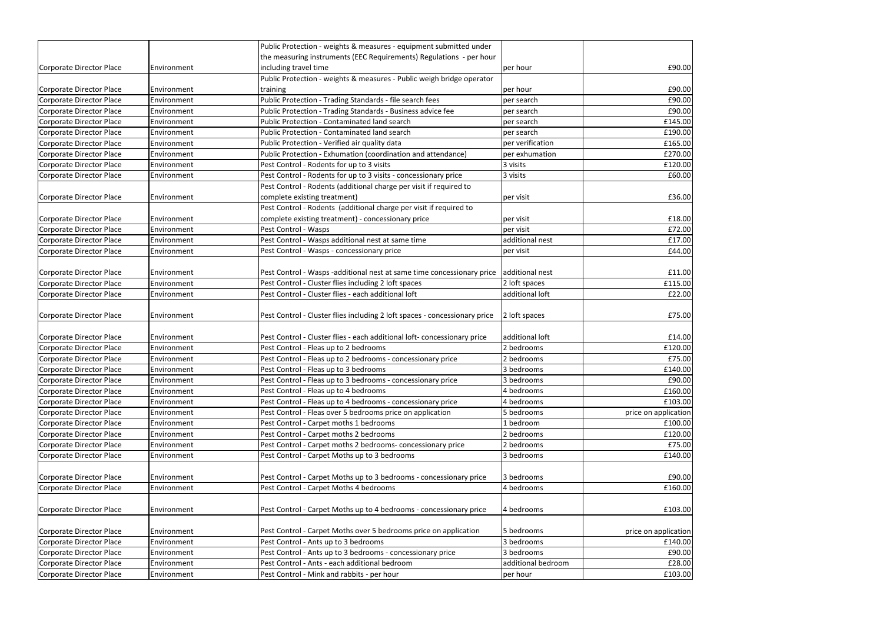|                                 |             | Public Protection - weights & measures - equipment submitted under         |                    |                      |
|---------------------------------|-------------|----------------------------------------------------------------------------|--------------------|----------------------|
|                                 |             | the measuring instruments (EEC Requirements) Regulations - per hour        |                    |                      |
| Corporate Director Place        | Environment | including travel time                                                      | per hour           | £90.00               |
|                                 |             | Public Protection - weights & measures - Public weigh bridge operator      |                    |                      |
| Corporate Director Place        | Environment | training                                                                   | per hour           | £90.00               |
| Corporate Director Place        | Environment | Public Protection - Trading Standards - file search fees                   | per search         | £90.00               |
| Corporate Director Place        | Environment | Public Protection - Trading Standards - Business advice fee                | per search         | £90.00               |
| Corporate Director Place        | Environment | Public Protection - Contaminated land search                               | per search         | £145.00              |
| <b>Corporate Director Place</b> | Environment | Public Protection - Contaminated land search                               | per search         | £190.00              |
| Corporate Director Place        | Environment | Public Protection - Verified air quality data                              | per verification   | £165.00              |
| Corporate Director Place        | Environment | Public Protection - Exhumation (coordination and attendance)               | per exhumation     | £270.00              |
| <b>Corporate Director Place</b> | Environment | Pest Control - Rodents for up to 3 visits                                  | 3 visits           | £120.00              |
| Corporate Director Place        | Environment | Pest Control - Rodents for up to 3 visits - concessionary price            | 3 visits           | £60.00               |
|                                 |             | Pest Control - Rodents (additional charge per visit if required to         |                    |                      |
| Corporate Director Place        | Environment | complete existing treatment)                                               | per visit          | £36.00               |
|                                 |             | Pest Control - Rodents (additional charge per visit if required to         |                    |                      |
| Corporate Director Place        | Environment | complete existing treatment) - concessionary price                         | per visit          | £18.00               |
| Corporate Director Place        | Environment | Pest Control - Wasps                                                       | per visit          | £72.00               |
| Corporate Director Place        | Environment | Pest Control - Wasps additional nest at same time                          | additional nest    | £17.00               |
| Corporate Director Place        | Environment | Pest Control - Wasps - concessionary price                                 | per visit          | £44.00               |
|                                 |             |                                                                            |                    |                      |
| Corporate Director Place        | Environment | Pest Control - Wasps -additional nest at same time concessionary price     | additional nest    | £11.00               |
| Corporate Director Place        | Environment | Pest Control - Cluster flies including 2 loft spaces                       | 2 loft spaces      | £115.00              |
| Corporate Director Place        | Environment | Pest Control - Cluster flies - each additional loft                        | additional loft    | £22.00               |
|                                 |             |                                                                            |                    |                      |
| Corporate Director Place        | Environment | Pest Control - Cluster flies including 2 loft spaces - concessionary price | 2 loft spaces      | £75.00               |
|                                 |             |                                                                            |                    |                      |
| Corporate Director Place        | Environment | Pest Control - Cluster flies - each additional loft- concessionary price   | additional loft    | £14.00               |
| Corporate Director Place        | Environment | Pest Control - Fleas up to 2 bedrooms                                      | 2 bedrooms         | £120.00              |
| Corporate Director Place        | Environment | Pest Control - Fleas up to 2 bedrooms - concessionary price                | 2 bedrooms         | £75.00               |
| Corporate Director Place        | Environment | Pest Control - Fleas up to 3 bedrooms                                      | 3 bedrooms         | £140.00              |
| Corporate Director Place        | Environment | Pest Control - Fleas up to 3 bedrooms - concessionary price                | 3 bedrooms         | £90.00               |
| Corporate Director Place        | Environment | Pest Control - Fleas up to 4 bedrooms                                      | 4 bedrooms         | £160.00              |
| Corporate Director Place        | Environment | Pest Control - Fleas up to 4 bedrooms - concessionary price                | 4 bedrooms         | £103.00              |
| Corporate Director Place        | Environment | Pest Control - Fleas over 5 bedrooms price on application                  | 5 bedrooms         | price on application |
| Corporate Director Place        | Environment | Pest Control - Carpet moths 1 bedrooms                                     | 1 bedroom          | £100.00              |
| Corporate Director Place        | Environment | Pest Control - Carpet moths 2 bedrooms                                     | 2 bedrooms         | £120.00              |
| <b>Corporate Director Place</b> | Environment | Pest Control - Carpet moths 2 bedrooms- concessionary price                | 2 bedrooms         | £75.00               |
| Corporate Director Place        | Environment | Pest Control - Carpet Moths up to 3 bedrooms                               | 3 bedrooms         | £140.00              |
|                                 |             |                                                                            |                    |                      |
| Corporate Director Place        | Environment | Pest Control - Carpet Moths up to 3 bedrooms - concessionary price         | 3 bedrooms         | £90.00               |
| Corporate Director Place        | Environment | Pest Control - Carpet Moths 4 bedrooms                                     | 4 bedrooms         | £160.00              |
|                                 |             |                                                                            |                    |                      |
| Corporate Director Place        | Environment | Pest Control - Carpet Moths up to 4 bedrooms - concessionary price         | 4 bedrooms         | £103.00              |
|                                 |             |                                                                            |                    |                      |
| Corporate Director Place        | Environment | Pest Control - Carpet Moths over 5 bedrooms price on application           | 5 bedrooms         | price on application |
| Corporate Director Place        | Environment | Pest Control - Ants up to 3 bedrooms                                       | 3 bedrooms         | £140.00              |
| Corporate Director Place        | Environment | Pest Control - Ants up to 3 bedrooms - concessionary price                 | 3 bedrooms         | £90.00               |
| Corporate Director Place        | Environment | Pest Control - Ants - each additional bedroom                              | additional bedroom | £28.00               |
| Corporate Director Place        | Environment | Pest Control - Mink and rabbits - per hour                                 | per hour           | £103.00              |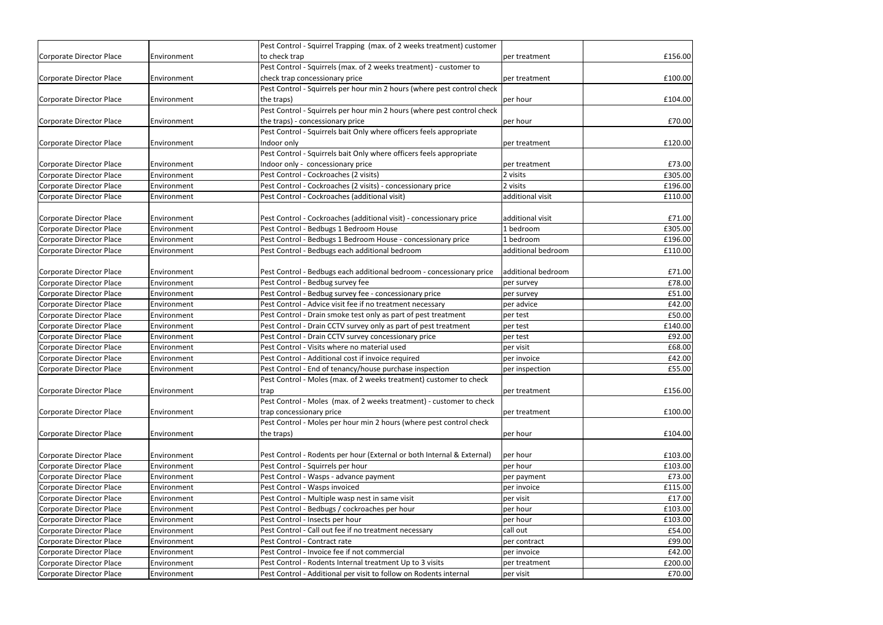|                          |             | Pest Control - Squirrel Trapping (max. of 2 weeks treatment) customer   |                    |         |
|--------------------------|-------------|-------------------------------------------------------------------------|--------------------|---------|
| Corporate Director Place | Environment | to check trap                                                           | per treatment      | £156.00 |
|                          |             | Pest Control - Squirrels (max. of 2 weeks treatment) - customer to      |                    |         |
| Corporate Director Place | Environment | check trap concessionary price                                          | per treatment      | £100.00 |
|                          |             | Pest Control - Squirrels per hour min 2 hours (where pest control check |                    |         |
| Corporate Director Place | Environment | the traps)                                                              | per hour           | £104.00 |
|                          |             | Pest Control - Squirrels per hour min 2 hours (where pest control check |                    |         |
| Corporate Director Place | Environment | the traps) - concessionary price                                        | per hour           | £70.00  |
|                          |             | Pest Control - Squirrels bait Only where officers feels appropriate     |                    |         |
| Corporate Director Place | Environment | Indoor only                                                             | per treatment      | £120.00 |
|                          |             | Pest Control - Squirrels bait Only where officers feels appropriate     |                    |         |
| Corporate Director Place | Environment | Indoor only - concessionary price                                       | per treatment      | £73.00  |
| Corporate Director Place | Environment | Pest Control - Cockroaches (2 visits)                                   | 2 visits           | £305.00 |
| Corporate Director Place | Environment | Pest Control - Cockroaches (2 visits) - concessionary price             | 2 visits           | £196.00 |
| Corporate Director Place | Environment | Pest Control - Cockroaches (additional visit)                           | additional visit   | £110.00 |
|                          |             |                                                                         |                    |         |
| Corporate Director Place | Environment | Pest Control - Cockroaches (additional visit) - concessionary price     | additional visit   | £71.00  |
| Corporate Director Place | Environment | Pest Control - Bedbugs 1 Bedroom House                                  | 1 bedroom          | £305.00 |
| Corporate Director Place | Environment | Pest Control - Bedbugs 1 Bedroom House - concessionary price            | 1 bedroom          | £196.00 |
| Corporate Director Place | Environment | Pest Control - Bedbugs each additional bedroom                          | additional bedroom | £110.00 |
|                          |             |                                                                         |                    |         |
| Corporate Director Place | Environment | Pest Control - Bedbugs each additional bedroom - concessionary price    | additional bedroom | £71.00  |
| Corporate Director Place | Environment | Pest Control - Bedbug survey fee                                        | per survey         | £78.00  |
| Corporate Director Place | Environment | Pest Control - Bedbug survey fee - concessionary price                  | per survey         | £51.00  |
| Corporate Director Place | Environment | Pest Control - Advice visit fee if no treatment necessary               | per advice         | £42.00  |
| Corporate Director Place | Environment | Pest Control - Drain smoke test only as part of pest treatment          | per test           | £50.00  |
| Corporate Director Place | Environment | Pest Control - Drain CCTV survey only as part of pest treatment         | per test           | £140.00 |
| Corporate Director Place | Environment | Pest Control - Drain CCTV survey concessionary price                    | per test           | £92.00  |
| Corporate Director Place | Environment | Pest Control - Visits where no material used                            | per visit          | £68.00  |
| Corporate Director Place | Environment | Pest Control - Additional cost if invoice required                      | per invoice        | £42.00  |
| Corporate Director Place | Environment | Pest Control - End of tenancy/house purchase inspection                 | per inspection     | £55.00  |
|                          |             | Pest Control - Moles (max. of 2 weeks treatment) customer to check      |                    |         |
| Corporate Director Place | Environment | trap                                                                    | per treatment      | £156.00 |
|                          |             | Pest Control - Moles (max. of 2 weeks treatment) - customer to check    |                    |         |
| Corporate Director Place | Environment | trap concessionary price                                                | per treatment      | £100.00 |
|                          |             | Pest Control - Moles per hour min 2 hours (where pest control check     |                    |         |
| Corporate Director Place | Environment | the traps)                                                              | per hour           | £104.00 |
|                          |             |                                                                         |                    |         |
| Corporate Director Place | Environment | Pest Control - Rodents per hour (External or both Internal & External)  | per hour           | £103.00 |
| Corporate Director Place | Environment | Pest Control - Squirrels per hour                                       | per hour           | £103.00 |
| Corporate Director Place | Environment | Pest Control - Wasps - advance payment                                  | per payment        | £73.00  |
| Corporate Director Place | Environment | Pest Control - Wasps invoiced                                           | per invoice        | £115.00 |
| Corporate Director Place | Environment | Pest Control - Multiple wasp nest in same visit                         | per visit          | £17.00  |
| Corporate Director Place | Environment | Pest Control - Bedbugs / cockroaches per hour                           | per hour           | £103.00 |
| Corporate Director Place | Environment | Pest Control - Insects per hour                                         | per hour           | £103.00 |
| Corporate Director Place | Environment | Pest Control - Call out fee if no treatment necessary                   | call out           | £54.00  |
| Corporate Director Place | Environment | Pest Control - Contract rate                                            | per contract       | £99.00  |
| Corporate Director Place | Environment | Pest Control - Invoice fee if not commercial                            | per invoice        | £42.00  |
| Corporate Director Place | Environment | Pest Control - Rodents Internal treatment Up to 3 visits                | per treatment      | £200.00 |
| Corporate Director Place | Environment | Pest Control - Additional per visit to follow on Rodents internal       | per visit          | £70.00  |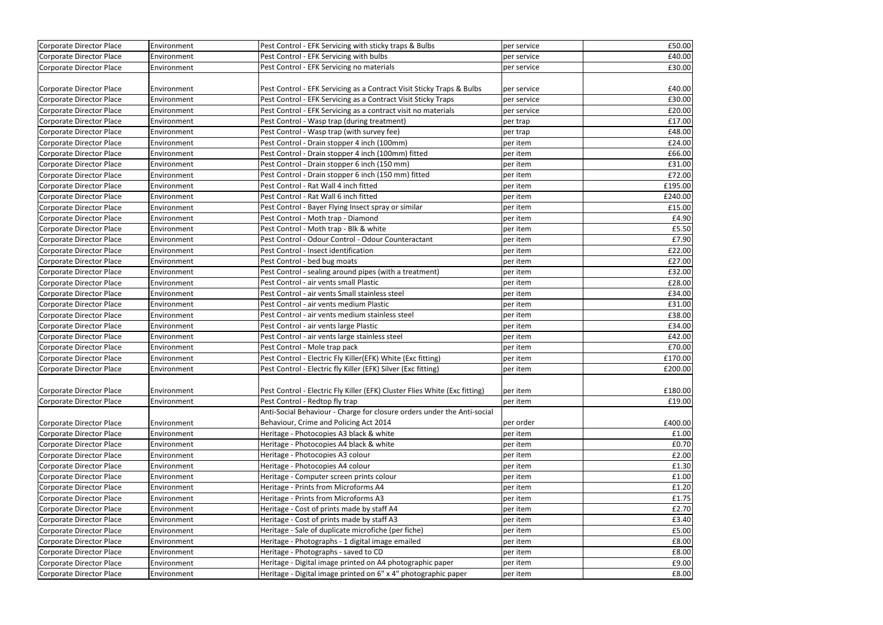| Corporate Director Place        | Environment | Pest Control - EFK Servicing with sticky traps & Bulbs                     | per service | £50.00  |
|---------------------------------|-------------|----------------------------------------------------------------------------|-------------|---------|
| Corporate Director Place        | Environment | Pest Control - EFK Servicing with bulbs                                    | per service | £40.00  |
| Corporate Director Place        | Environment | Pest Control - EFK Servicing no materials                                  | per service | £30.00  |
|                                 |             |                                                                            |             |         |
| Corporate Director Place        | Environment | Pest Control - EFK Servicing as a Contract Visit Sticky Traps & Bulbs      | per service | £40.00  |
| Corporate Director Place        | Environment | Pest Control - EFK Servicing as a Contract Visit Sticky Traps              | per service | £30.00  |
| Corporate Director Place        | Environment | Pest Control - EFK Servicing as a contract visit no materials              | per service | £20.00  |
| Corporate Director Place        | Environment | Pest Control - Wasp trap (during treatment)                                | per trap    | £17.00  |
| Corporate Director Place        | Environment | Pest Control - Wasp trap (with survey fee)                                 | per trap    | £48.00  |
| Corporate Director Place        | Environment | Pest Control - Drain stopper 4 inch (100mm)                                | per item    | £24.00  |
| Corporate Director Place        | Environment | Pest Control - Drain stopper 4 inch (100mm) fitted                         | per item    | £66.00  |
| Corporate Director Place        | Environment | Pest Control - Drain stopper 6 inch (150 mm)                               | per item    | £31.00  |
| Corporate Director Place        | Environment | Pest Control - Drain stopper 6 inch (150 mm) fitted                        | per item    | £72.00  |
| Corporate Director Place        | Environment | Pest Control - Rat Wall 4 inch fitted                                      | per item    | £195.00 |
| Corporate Director Place        | Environment | Pest Control - Rat Wall 6 inch fitted                                      | per item    | £240.00 |
| Corporate Director Place        | Environment | Pest Control - Bayer Flying Insect spray or similar                        | per item    | £15.00  |
| Corporate Director Place        | Environment | Pest Control - Moth trap - Diamond                                         | per item    | £4.90   |
| Corporate Director Place        | Environment | Pest Control - Moth trap - Blk & white                                     | per item    | £5.50   |
| Corporate Director Place        | Environment | Pest Control - Odour Control - Odour Counteractant                         | per item    | £7.90   |
| Corporate Director Place        | Environment | Pest Control - Insect identification                                       | per item    | £22.00  |
| <b>Corporate Director Place</b> | Environment | Pest Control - bed bug moats                                               | per item    | £27.00  |
| Corporate Director Place        | Environment | Pest Control - sealing around pipes (with a treatment)                     | per item    | £32.00  |
| Corporate Director Place        | Environment | Pest Control - air vents small Plastic                                     | per item    | £28.00  |
| Corporate Director Place        | Environment | Pest Control - air vents Small stainless steel                             | per item    | £34.00  |
| Corporate Director Place        | Environment | Pest Control - air vents medium Plastic                                    | per item    | £31.00  |
| Corporate Director Place        | Environment | Pest Control - air vents medium stainless steel                            | per item    | £38.00  |
| Corporate Director Place        | Environment | Pest Control - air vents large Plastic                                     | per item    | £34.00  |
| Corporate Director Place        | Environment | Pest Control - air vents large stainless steel                             | per item    | £42.00  |
| Corporate Director Place        | Environment | Pest Control - Mole trap pack                                              | per item    | £70.00  |
| Corporate Director Place        | Environment | Pest Control - Electric Fly Killer(EFK) White (Exc fitting)                | per item    | £170.00 |
| Corporate Director Place        | Environment | Pest Control - Electric fly Killer (EFK) Silver (Exc fitting)              | per item    | £200.00 |
|                                 |             |                                                                            |             |         |
| Corporate Director Place        | Environment | Pest Control - Electric Fly Killer (EFK) Cluster Flies White (Exc fitting) | per item    | £180.00 |
| Corporate Director Place        | Environment | Pest Control - Redtop fly trap                                             | per item    | £19.00  |
|                                 |             | Anti-Social Behaviour - Charge for closure orders under the Anti-social    |             |         |
| Corporate Director Place        | Environment | Behaviour, Crime and Policing Act 2014                                     | per order   | £400.00 |
| Corporate Director Place        | Environment | Heritage - Photocopies A3 black & white                                    | per item    | £1.00   |
| Corporate Director Place        | Environment | Heritage - Photocopies A4 black & white                                    | per item    | E0.70   |
| Corporate Director Place        | Environment | Heritage - Photocopies A3 colour                                           | per item    | E2.00   |
| Corporate Director Place        | Environment | Heritage - Photocopies A4 colour                                           | per item    | £1.30   |
| Corporate Director Place        | Environment | Heritage - Computer screen prints colour                                   | per item    | £1.00   |
| Corporate Director Place        | Environment | Heritage - Prints from Microforms A4                                       | per item    | f1.20   |
| Corporate Director Place        | Environment | Heritage - Prints from Microforms A3                                       | per item    | £1.75   |
| Corporate Director Place        | Environment | Heritage - Cost of prints made by staff A4                                 | per item    | £2.70   |
| Corporate Director Place        | Environment | Heritage - Cost of prints made by staff A3                                 | per item    | E3.40   |
| Corporate Director Place        | Environment | Heritage - Sale of duplicate microfiche (per fiche)                        | per item    | £5.00   |
| Corporate Director Place        | Environment | Heritage - Photographs - 1 digital image emailed                           | per item    | £8.00   |
| Corporate Director Place        | Environment | Heritage - Photographs - saved to CD                                       | per item    | £8.00   |
| Corporate Director Place        | Environment | Heritage - Digital image printed on A4 photographic paper                  | per item    | E9.00   |
| Corporate Director Place        | Environment | Heritage - Digital image printed on 6" x 4" photographic paper             | per item    | £8.00   |
|                                 |             |                                                                            |             |         |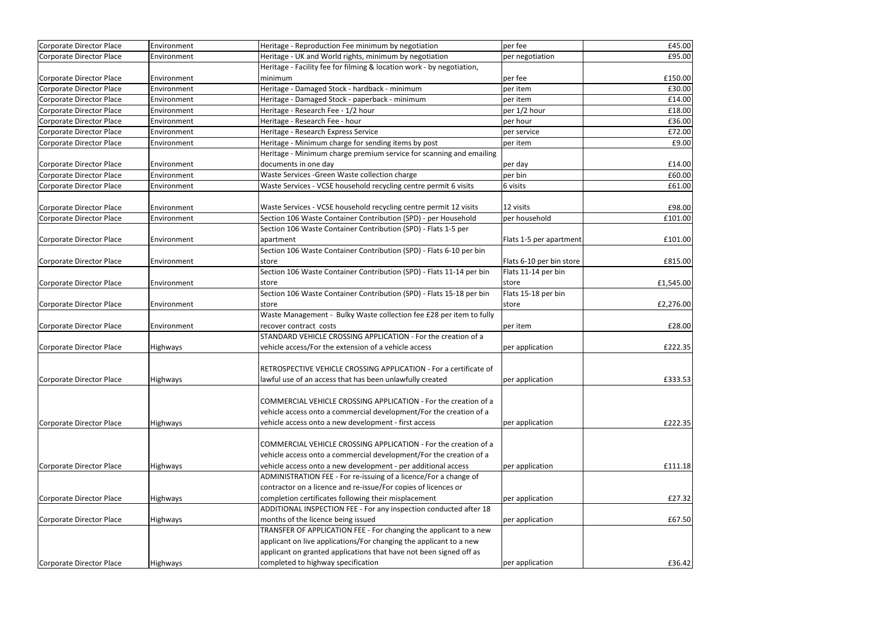| Corporate Director Place | Environment     | Heritage - Reproduction Fee minimum by negotiation                                                      | per fee                  | £45.00    |
|--------------------------|-----------------|---------------------------------------------------------------------------------------------------------|--------------------------|-----------|
| Corporate Director Place | Environment     | Heritage - UK and World rights, minimum by negotiation                                                  | per negotiation          | £95.00    |
|                          |                 | Heritage - Facility fee for filming & location work - by negotiation,                                   |                          |           |
| Corporate Director Place | Environment     | minimum                                                                                                 | per fee                  | £150.00   |
| Corporate Director Place | Environment     | Heritage - Damaged Stock - hardback - minimum                                                           | per item                 | £30.00    |
| Corporate Director Place | Environment     | Heritage - Damaged Stock - paperback - minimum                                                          | per item                 | £14.00    |
| Corporate Director Place | Environment     | Heritage - Research Fee - 1/2 hour                                                                      | per 1/2 hour             | £18.00    |
| Corporate Director Place | Environment     | Heritage - Research Fee - hour                                                                          | per hour                 | £36.00    |
| Corporate Director Place | Environment     | Heritage - Research Express Service                                                                     | per service              | £72.00    |
| Corporate Director Place | Environment     | Heritage - Minimum charge for sending items by post                                                     | per item                 | £9.00     |
|                          |                 | Heritage - Minimum charge premium service for scanning and emailing                                     |                          |           |
| Corporate Director Place | Environment     | documents in one day                                                                                    | per day                  | £14.00    |
| Corporate Director Place | Environment     | Waste Services - Green Waste collection charge                                                          | per bin                  | £60.00    |
| Corporate Director Place | Environment     | Waste Services - VCSE household recycling centre permit 6 visits                                        | 6 visits                 | £61.00    |
|                          |                 |                                                                                                         |                          |           |
| Corporate Director Place | Environment     | Waste Services - VCSE household recycling centre permit 12 visits                                       | 12 visits                | £98.00    |
| Corporate Director Place | Environment     | Section 106 Waste Container Contribution (SPD) - per Household                                          | per household            | £101.00   |
|                          |                 | Section 106 Waste Container Contribution (SPD) - Flats 1-5 per                                          |                          |           |
| Corporate Director Place | Environment     | apartment                                                                                               | Flats 1-5 per apartment  | £101.00   |
|                          |                 | Section 106 Waste Container Contribution (SPD) - Flats 6-10 per bin                                     |                          |           |
| Corporate Director Place | Environment     | store                                                                                                   | Flats 6-10 per bin store | £815.00   |
|                          |                 | Section 106 Waste Container Contribution (SPD) - Flats 11-14 per bin                                    | Flats 11-14 per bin      |           |
| Corporate Director Place | Environment     | store                                                                                                   | store                    | £1,545.00 |
|                          |                 | Section 106 Waste Container Contribution (SPD) - Flats 15-18 per bin                                    | Flats 15-18 per bin      |           |
| Corporate Director Place | Environment     | store                                                                                                   | store                    | £2,276.00 |
|                          |                 | Waste Management - Bulky Waste collection fee £28 per item to fully                                     |                          |           |
| Corporate Director Place | Environment     | recover contract costs                                                                                  | per item                 | £28.00    |
|                          |                 | STANDARD VEHICLE CROSSING APPLICATION - For the creation of a                                           |                          |           |
| Corporate Director Place | <b>Highways</b> | vehicle access/For the extension of a vehicle access                                                    | per application          | £222.35   |
|                          |                 |                                                                                                         |                          |           |
|                          |                 | RETROSPECTIVE VEHICLE CROSSING APPLICATION - For a certificate of                                       |                          |           |
| Corporate Director Place | <b>Highways</b> | lawful use of an access that has been unlawfully created                                                | per application          | £333.53   |
|                          |                 |                                                                                                         |                          |           |
|                          |                 | COMMERCIAL VEHICLE CROSSING APPLICATION - For the creation of a                                         |                          |           |
|                          |                 | vehicle access onto a commercial development/For the creation of a                                      |                          |           |
| Corporate Director Place | <b>Highways</b> | vehicle access onto a new development - first access                                                    | per application          | £222.35   |
|                          |                 |                                                                                                         |                          |           |
|                          |                 | COMMERCIAL VEHICLE CROSSING APPLICATION - For the creation of a                                         |                          |           |
|                          |                 | vehicle access onto a commercial development/For the creation of a                                      |                          |           |
| Corporate Director Place | <b>Highways</b> | vehicle access onto a new development - per additional access                                           | per application          | £111.18   |
|                          |                 | ADMINISTRATION FEE - For re-issuing of a licence/For a change of                                        |                          |           |
|                          |                 | contractor on a licence and re-issue/For copies of licences or                                          |                          |           |
| Corporate Director Place | <b>Highways</b> | completion certificates following their misplacement                                                    | per application          | £27.32    |
|                          |                 |                                                                                                         |                          |           |
|                          |                 | ADDITIONAL INSPECTION FEE - For any inspection conducted after 18                                       |                          |           |
| Corporate Director Place | <b>Highways</b> | months of the licence being issued<br>TRANSFER OF APPLICATION FEE - For changing the applicant to a new | per application          | £67.50    |
|                          |                 |                                                                                                         |                          |           |
|                          |                 | applicant on live applications/For changing the applicant to a new                                      |                          |           |
|                          |                 | applicant on granted applications that have not been signed off as                                      |                          |           |
| Corporate Director Place | <b>Highways</b> | completed to highway specification                                                                      | per application          | £36.42    |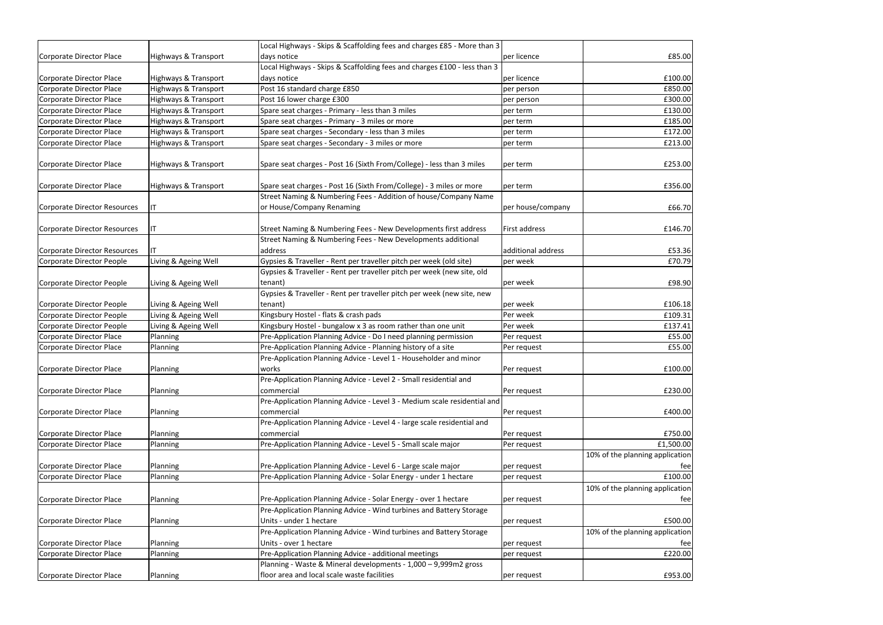|                                 |                      | Local Highways - Skips & Scaffolding fees and charges £85 - More than 3                      |                    |                                        |
|---------------------------------|----------------------|----------------------------------------------------------------------------------------------|--------------------|----------------------------------------|
| Corporate Director Place        | Highways & Transport | days notice                                                                                  | per licence        | £85.00                                 |
|                                 |                      | Local Highways - Skips & Scaffolding fees and charges £100 - less than 3                     |                    |                                        |
| Corporate Director Place        | Highways & Transport | days notice                                                                                  | per licence        | £100.00                                |
| Corporate Director Place        | Highways & Transport | Post 16 standard charge £850                                                                 | per person         | £850.00                                |
| Corporate Director Place        | Highways & Transport | Post 16 lower charge £300                                                                    | per person         | £300.00                                |
| Corporate Director Place        | Highways & Transport | Spare seat charges - Primary - less than 3 miles                                             | per term           | £130.00                                |
| Corporate Director Place        | Highways & Transport | Spare seat charges - Primary - 3 miles or more                                               | per term           | £185.00                                |
| <b>Corporate Director Place</b> | Highways & Transport | Spare seat charges - Secondary - less than 3 miles                                           | per term           | £172.00                                |
| Corporate Director Place        | Highways & Transport | Spare seat charges - Secondary - 3 miles or more                                             | per term           | £213.00                                |
| Corporate Director Place        | Highways & Transport | Spare seat charges - Post 16 (Sixth From/College) - less than 3 miles                        | per term           | £253.00                                |
| Corporate Director Place        | Highways & Transport | Spare seat charges - Post 16 (Sixth From/College) - 3 miles or more                          | per term           | £356.00                                |
| Corporate Director Resources    | IT                   | Street Naming & Numbering Fees - Addition of house/Company Name<br>or House/Company Renaming | per house/company  | £66.70                                 |
|                                 |                      |                                                                                              |                    |                                        |
| Corporate Director Resources    | ΙT                   | Street Naming & Numbering Fees - New Developments first address                              | First address      | £146.70                                |
|                                 |                      | Street Naming & Numbering Fees - New Developments additional                                 |                    |                                        |
| Corporate Director Resources    | IΤ                   | address                                                                                      | additional address | £53.36                                 |
| Corporate Director People       | Living & Ageing Well | Gypsies & Traveller - Rent per traveller pitch per week (old site)                           | per week           | £70.79                                 |
| Corporate Director People       | Living & Ageing Well | Gypsies & Traveller - Rent per traveller pitch per week (new site, old<br>tenant)            | per week           | £98.90                                 |
|                                 |                      | Gypsies & Traveller - Rent per traveller pitch per week (new site, new                       |                    |                                        |
| Corporate Director People       | Living & Ageing Well | tenant)                                                                                      | per week           | £106.18                                |
| Corporate Director People       | Living & Ageing Well | Kingsbury Hostel - flats & crash pads                                                        | Per week           | £109.31                                |
| Corporate Director People       | Living & Ageing Well | Kingsbury Hostel - bungalow x 3 as room rather than one unit                                 | Per week           | £137.41                                |
| Corporate Director Place        | Planning             | Pre-Application Planning Advice - Do I need planning permission                              | Per request        | £55.00                                 |
| Corporate Director Place        | Planning             | Pre-Application Planning Advice - Planning history of a site                                 | Per request        | £55.00                                 |
|                                 |                      | Pre-Application Planning Advice - Level 1 - Householder and minor                            |                    |                                        |
| Corporate Director Place        | Planning             | works                                                                                        | Per request        | £100.00                                |
|                                 |                      | Pre-Application Planning Advice - Level 2 - Small residential and                            |                    |                                        |
| Corporate Director Place        | Planning             | commercial                                                                                   | Per request        | £230.00                                |
|                                 |                      | Pre-Application Planning Advice - Level 3 - Medium scale residential and                     |                    |                                        |
| Corporate Director Place        | Planning             | commercial                                                                                   | Per request        | £400.00                                |
|                                 |                      | Pre-Application Planning Advice - Level 4 - large scale residential and                      |                    |                                        |
| Corporate Director Place        | Planning             | commercial                                                                                   | Per request        | £750.00                                |
| Corporate Director Place        | Planning             | Pre-Application Planning Advice - Level 5 - Small scale major                                | Per request        | £1,500.00                              |
| Corporate Director Place        | Planning             | Pre-Application Planning Advice - Level 6 - Large scale major                                | per request        | 10% of the planning application<br>fee |
| Corporate Director Place        | Planning             | Pre-Application Planning Advice - Solar Energy - under 1 hectare                             | per request        | £100.00                                |
|                                 |                      |                                                                                              |                    | 10% of the planning application        |
| Corporate Director Place        | Planning             | Pre-Application Planning Advice - Solar Energy - over 1 hectare                              | per request        | fee                                    |
|                                 |                      | Pre-Application Planning Advice - Wind turbines and Battery Storage                          |                    |                                        |
| Corporate Director Place        | Planning             | Units - under 1 hectare                                                                      | per request        | £500.00                                |
|                                 |                      | Pre-Application Planning Advice - Wind turbines and Battery Storage                          |                    | 10% of the planning application        |
| Corporate Director Place        | Planning             | Units - over 1 hectare                                                                       | per request        | fee                                    |
| Corporate Director Place        | Planning             | Pre-Application Planning Advice - additional meetings                                        | per request        | £220.00                                |
|                                 |                      | Planning - Waste & Mineral developments - 1,000 - 9,999m2 gross                              |                    |                                        |
| Corporate Director Place        | Planning             | floor area and local scale waste facilities                                                  | per request        | £953.00                                |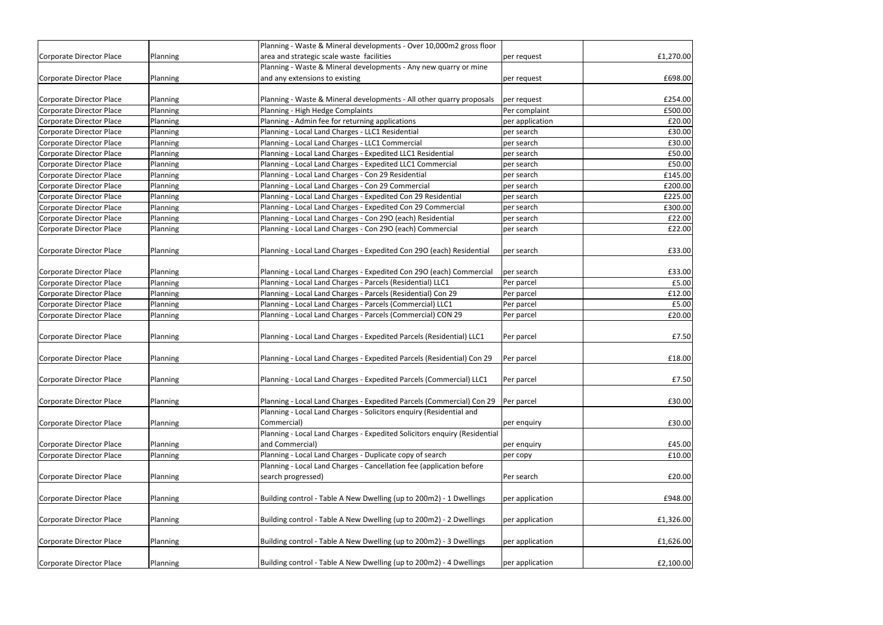|                          |          | Planning - Waste & Mineral developments - Over 10,000m2 gross floor       |                 |           |
|--------------------------|----------|---------------------------------------------------------------------------|-----------------|-----------|
| Corporate Director Place | Planning | area and strategic scale waste facilities                                 | per request     | £1,270.00 |
|                          |          | Planning - Waste & Mineral developments - Any new quarry or mine          |                 |           |
| Corporate Director Place | Planning | and any extensions to existing                                            | per request     | £698.00   |
|                          |          |                                                                           |                 |           |
| Corporate Director Place | Planning | Planning - Waste & Mineral developments - All other quarry proposals      | per request     | £254.00   |
| Corporate Director Place | Planning | Planning - High Hedge Complaints                                          | Per complaint   | £500.00   |
| Corporate Director Place | Planning | Planning - Admin fee for returning applications                           | per application | £20.00    |
| Corporate Director Place | Planning | Planning - Local Land Charges - LLC1 Residential                          | per search      | £30.00    |
| Corporate Director Place | Planning | Planning - Local Land Charges - LLC1 Commercial                           | per search      | £30.00    |
| Corporate Director Place | Planning | Planning - Local Land Charges - Expedited LLC1 Residential                | per search      | £50.00    |
| Corporate Director Place | Planning | Planning - Local Land Charges - Expedited LLC1 Commercial                 | per search      | £50.00    |
| Corporate Director Place | Planning | Planning - Local Land Charges - Con 29 Residential                        | per search      | £145.00   |
| Corporate Director Place | Planning | Planning - Local Land Charges - Con 29 Commercial                         | per search      | £200.00   |
| Corporate Director Place | Planning | Planning - Local Land Charges - Expedited Con 29 Residential              | per search      | £225.00   |
| Corporate Director Place | Planning | Planning - Local Land Charges - Expedited Con 29 Commercial               | per search      | £300.00   |
| Corporate Director Place | Planning | Planning - Local Land Charges - Con 290 (each) Residential                | per search      | £22.00    |
| Corporate Director Place | Planning | Planning - Local Land Charges - Con 290 (each) Commercial                 | per search      | £22.00    |
| Corporate Director Place | Planning | Planning - Local Land Charges - Expedited Con 290 (each) Residential      | per search      | £33.00    |
| Corporate Director Place | Planning | Planning - Local Land Charges - Expedited Con 290 (each) Commercial       | per search      | £33.00    |
| Corporate Director Place | Planning | Planning - Local Land Charges - Parcels (Residential) LLC1                | Per parcel      | £5.00     |
| Corporate Director Place | Planning | Planning - Local Land Charges - Parcels (Residential) Con 29              | Per parcel      | £12.00    |
| Corporate Director Place | Planning | Planning - Local Land Charges - Parcels (Commercial) LLC1                 | Per parcel      | £5.00     |
| Corporate Director Place | Planning | Planning - Local Land Charges - Parcels (Commercial) CON 29               | Per parcel      | £20.00    |
|                          |          |                                                                           |                 |           |
| Corporate Director Place | Planning | Planning - Local Land Charges - Expedited Parcels (Residential) LLC1      | Per parcel      | £7.50     |
| Corporate Director Place | Planning | Planning - Local Land Charges - Expedited Parcels (Residential) Con 29    | Per parcel      | £18.00    |
| Corporate Director Place | Planning | Planning - Local Land Charges - Expedited Parcels (Commercial) LLC1       | Per parcel      | £7.50     |
| Corporate Director Place | Planning | Planning - Local Land Charges - Expedited Parcels (Commercial) Con 29     | Per parcel      | £30.00    |
|                          |          | Planning - Local Land Charges - Solicitors enquiry (Residential and       |                 |           |
| Corporate Director Place | Planning | Commercial)                                                               | per enquiry     | £30.00    |
|                          |          | Planning - Local Land Charges - Expedited Solicitors enquiry (Residential |                 |           |
| Corporate Director Place | Planning | and Commercial)                                                           | per enquiry     | £45.00    |
| Corporate Director Place | Planning | Planning - Local Land Charges - Duplicate copy of search                  | per copy        | £10.00    |
|                          |          | Planning - Local Land Charges - Cancellation fee (application before      |                 |           |
| Corporate Director Place | Planning | search progressed)                                                        | Per search      | £20.00    |
|                          |          |                                                                           |                 |           |
| Corporate Director Place | Planning | Building control - Table A New Dwelling (up to 200m2) - 1 Dwellings       | per application | £948.00   |
| Corporate Director Place | Planning | Building control - Table A New Dwelling (up to 200m2) - 2 Dwellings       | per application | £1,326.00 |
| Corporate Director Place | Planning | Building control - Table A New Dwelling (up to 200m2) - 3 Dwellings       | per application | £1,626.00 |
|                          |          |                                                                           |                 |           |
| Corporate Director Place | Planning | Building control - Table A New Dwelling (up to 200m2) - 4 Dwellings       | per application | £2,100.00 |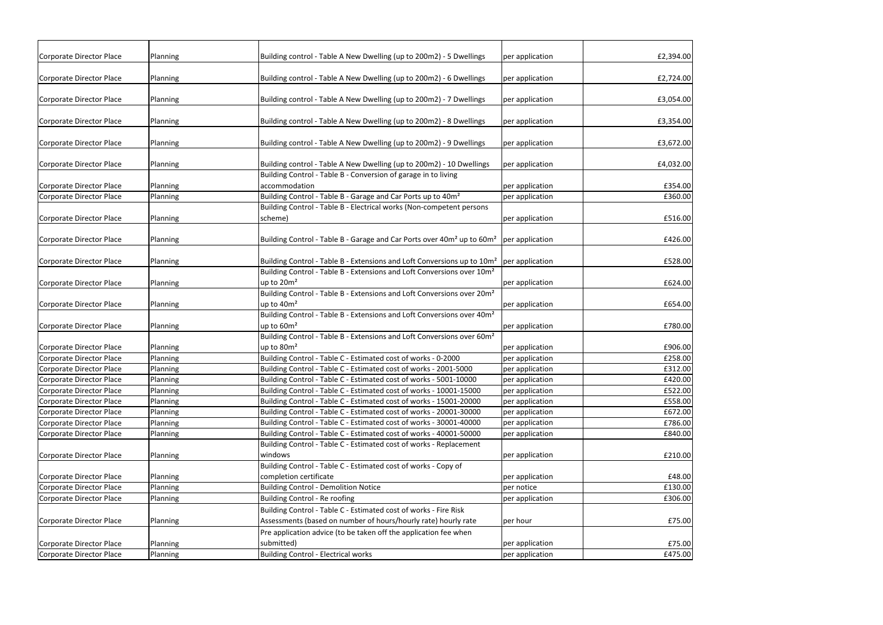| Corporate Director Place        | Planning | Building control - Table A New Dwelling (up to 200m2) - 5 Dwellings                                                                                                                       | per application | £2,394.00 |
|---------------------------------|----------|-------------------------------------------------------------------------------------------------------------------------------------------------------------------------------------------|-----------------|-----------|
| Corporate Director Place        | Planning | Building control - Table A New Dwelling (up to 200m2) - 6 Dwellings                                                                                                                       | per application | £2,724.00 |
| Corporate Director Place        | Planning | Building control - Table A New Dwelling (up to 200m2) - 7 Dwellings                                                                                                                       | per application | £3,054.00 |
| Corporate Director Place        | Planning | Building control - Table A New Dwelling (up to 200m2) - 8 Dwellings                                                                                                                       | per application | £3,354.00 |
| Corporate Director Place        | Planning | Building control - Table A New Dwelling (up to 200m2) - 9 Dwellings                                                                                                                       | per application | £3,672.00 |
| Corporate Director Place        | Planning | Building control - Table A New Dwelling (up to 200m2) - 10 Dwellings                                                                                                                      | per application | £4,032.00 |
| Corporate Director Place        | Planning | Building Control - Table B - Conversion of garage in to living<br>accommodation                                                                                                           | per application | £354.00   |
| <b>Corporate Director Place</b> | Planning | Building Control - Table B - Garage and Car Ports up to 40m <sup>2</sup>                                                                                                                  | per application | £360.00   |
|                                 |          | Building Control - Table B - Electrical works (Non-competent persons                                                                                                                      |                 |           |
| Corporate Director Place        | Planning | scheme)                                                                                                                                                                                   | per application | £516.00   |
|                                 |          |                                                                                                                                                                                           |                 |           |
| Corporate Director Place        | Planning | Building Control - Table B - Garage and Car Ports over 40m <sup>2</sup> up to 60m <sup>2</sup>                                                                                            | per application | £426.00   |
|                                 |          |                                                                                                                                                                                           |                 |           |
| Corporate Director Place        | Planning | Building Control - Table B - Extensions and Loft Conversions up to 10m <sup>2</sup> per application<br>Building Control - Table B - Extensions and Loft Conversions over 10m <sup>2</sup> |                 | £528.00   |
|                                 |          | up to $20m^2$                                                                                                                                                                             | per application | £624.00   |
| Corporate Director Place        | Planning | Building Control - Table B - Extensions and Loft Conversions over 20m <sup>2</sup>                                                                                                        |                 |           |
| Corporate Director Place        | Planning | up to 40m <sup>2</sup>                                                                                                                                                                    | per application | £654.00   |
|                                 |          | Building Control - Table B - Extensions and Loft Conversions over 40m <sup>2</sup>                                                                                                        |                 |           |
| Corporate Director Place        | Planning | up to $60m^2$                                                                                                                                                                             | per application | £780.00   |
|                                 |          | Building Control - Table B - Extensions and Loft Conversions over 60m <sup>2</sup>                                                                                                        |                 |           |
| Corporate Director Place        | Planning | up to 80m <sup>2</sup>                                                                                                                                                                    | per application | £906.00   |
| Corporate Director Place        | Planning | Building Control - Table C - Estimated cost of works - 0-2000                                                                                                                             | per application | £258.00   |
| Corporate Director Place        | Planning | Building Control - Table C - Estimated cost of works - 2001-5000                                                                                                                          | per application | £312.00   |
| Corporate Director Place        | Planning | Building Control - Table C - Estimated cost of works - 5001-10000                                                                                                                         | per application | £420.00   |
| <b>Corporate Director Place</b> | Planning | Building Control - Table C - Estimated cost of works - 10001-15000                                                                                                                        | per application | £522.00   |
| <b>Corporate Director Place</b> | Planning | Building Control - Table C - Estimated cost of works - 15001-20000                                                                                                                        | per application | £558.00   |
| <b>Corporate Director Place</b> | Planning | Building Control - Table C - Estimated cost of works - 20001-30000                                                                                                                        | per application | £672.00   |
| Corporate Director Place        | Planning | Building Control - Table C - Estimated cost of works - 30001-40000                                                                                                                        | per application | £786.00   |
| Corporate Director Place        | Planning | Building Control - Table C - Estimated cost of works - 40001-50000                                                                                                                        | per application | £840.00   |
|                                 |          | Building Control - Table C - Estimated cost of works - Replacement                                                                                                                        |                 |           |
| Corporate Director Place        | Planning | windows                                                                                                                                                                                   | per application | £210.00   |
|                                 |          | Building Control - Table C - Estimated cost of works - Copy of                                                                                                                            |                 |           |
| Corporate Director Place        | Planning | completion certificate                                                                                                                                                                    | per application | £48.00    |
| <b>Corporate Director Place</b> | Planning | <b>Building Control - Demolition Notice</b>                                                                                                                                               | per notice      | £130.00   |
| Corporate Director Place        | Planning | Building Control - Re roofing                                                                                                                                                             | per application | £306.00   |
|                                 |          | Building Control - Table C - Estimated cost of works - Fire Risk                                                                                                                          |                 |           |
| Corporate Director Place        | Planning | Assessments (based on number of hours/hourly rate) hourly rate                                                                                                                            | per hour        | £75.00    |
|                                 |          | Pre application advice (to be taken off the application fee when                                                                                                                          |                 |           |
| Corporate Director Place        | Planning | submitted)                                                                                                                                                                                | per application | £75.00    |
| Corporate Director Place        | Planning | <b>Building Control - Electrical works</b>                                                                                                                                                | per application | £475.00   |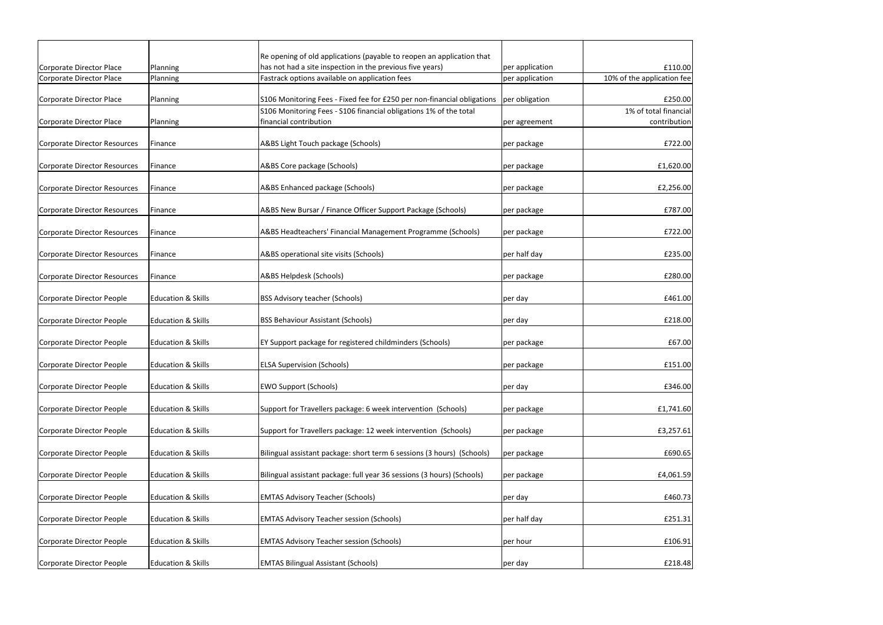| Corporate Director Place     | Planning                      | Re opening of old applications (payable to reopen an application that<br>has not had a site inspection in the previous five years) |                                    | £110.00                    |
|------------------------------|-------------------------------|------------------------------------------------------------------------------------------------------------------------------------|------------------------------------|----------------------------|
| Corporate Director Place     | Planning                      | Fastrack options available on application fees                                                                                     | per application<br>per application | 10% of the application fee |
|                              |                               |                                                                                                                                    |                                    |                            |
| Corporate Director Place     | Planning                      | S106 Monitoring Fees - Fixed fee for £250 per non-financial obligations                                                            | per obligation                     | £250.00                    |
|                              |                               | S106 Monitoring Fees - S106 financial obligations 1% of the total                                                                  |                                    | 1% of total financial      |
| Corporate Director Place     | Planning                      | financial contribution                                                                                                             | per agreement                      | contribution               |
|                              |                               |                                                                                                                                    |                                    |                            |
| Corporate Director Resources | Finance                       | A&BS Light Touch package (Schools)                                                                                                 | per package                        | £722.00                    |
|                              |                               |                                                                                                                                    |                                    |                            |
| Corporate Director Resources | Finance                       | A&BS Core package (Schools)                                                                                                        | per package                        | £1,620.00                  |
|                              |                               |                                                                                                                                    |                                    |                            |
| Corporate Director Resources | Finance                       | A&BS Enhanced package (Schools)                                                                                                    | per package                        | £2,256.00                  |
|                              |                               |                                                                                                                                    |                                    |                            |
| Corporate Director Resources | Finance                       | A&BS New Bursar / Finance Officer Support Package (Schools)                                                                        | per package                        | £787.00                    |
|                              |                               |                                                                                                                                    |                                    |                            |
| Corporate Director Resources | Finance                       | A&BS Headteachers' Financial Management Programme (Schools)                                                                        | per package                        | £722.00                    |
|                              |                               |                                                                                                                                    |                                    |                            |
| Corporate Director Resources | Finance                       | A&BS operational site visits (Schools)                                                                                             | per half day                       | £235.00                    |
|                              |                               |                                                                                                                                    |                                    |                            |
| Corporate Director Resources | Finance                       | A&BS Helpdesk (Schools)                                                                                                            | per package                        | £280.00                    |
|                              |                               |                                                                                                                                    |                                    |                            |
| Corporate Director People    | <b>Education &amp; Skills</b> | <b>BSS Advisory teacher (Schools)</b>                                                                                              | per day                            | £461.00                    |
|                              |                               |                                                                                                                                    |                                    |                            |
| Corporate Director People    | <b>Education &amp; Skills</b> | <b>BSS Behaviour Assistant (Schools)</b>                                                                                           | per day                            | £218.00                    |
|                              |                               |                                                                                                                                    |                                    |                            |
| Corporate Director People    | <b>Education &amp; Skills</b> | EY Support package for registered childminders (Schools)                                                                           | per package                        | £67.00                     |
|                              |                               |                                                                                                                                    |                                    |                            |
| Corporate Director People    | <b>Education &amp; Skills</b> | <b>ELSA Supervision (Schools)</b>                                                                                                  | per package                        | £151.00                    |
|                              |                               |                                                                                                                                    |                                    |                            |
| Corporate Director People    | <b>Education &amp; Skills</b> | <b>EWO Support (Schools)</b>                                                                                                       | per day                            | £346.00                    |
|                              |                               |                                                                                                                                    |                                    |                            |
| Corporate Director People    | <b>Education &amp; Skills</b> | Support for Travellers package: 6 week intervention (Schools)                                                                      | per package                        | £1,741.60                  |
|                              |                               |                                                                                                                                    |                                    |                            |
| Corporate Director People    | <b>Education &amp; Skills</b> | Support for Travellers package: 12 week intervention (Schools)                                                                     | per package                        | £3,257.61                  |
|                              |                               |                                                                                                                                    |                                    |                            |
| Corporate Director People    | <b>Education &amp; Skills</b> | Bilingual assistant package: short term 6 sessions (3 hours) (Schools)                                                             | per package                        | £690.65                    |
|                              |                               |                                                                                                                                    |                                    |                            |
| Corporate Director People    | <b>Education &amp; Skills</b> | Bilingual assistant package: full year 36 sessions (3 hours) (Schools)                                                             | per package                        | £4,061.59                  |
|                              |                               |                                                                                                                                    |                                    |                            |
| Corporate Director People    | <b>Education &amp; Skills</b> | <b>EMTAS Advisory Teacher (Schools)</b>                                                                                            | per day                            | £460.73                    |
|                              |                               |                                                                                                                                    |                                    |                            |
| Corporate Director People    | <b>Education &amp; Skills</b> | <b>EMTAS Advisory Teacher session (Schools)</b>                                                                                    | per half day                       | £251.31                    |
|                              |                               |                                                                                                                                    |                                    |                            |
| Corporate Director People    | <b>Education &amp; Skills</b> | <b>EMTAS Advisory Teacher session (Schools)</b>                                                                                    | per hour                           | £106.91                    |
|                              |                               |                                                                                                                                    |                                    |                            |
| Corporate Director People    | <b>Education &amp; Skills</b> | <b>EMTAS Bilingual Assistant (Schools)</b>                                                                                         | per day                            | £218.48                    |
|                              |                               |                                                                                                                                    |                                    |                            |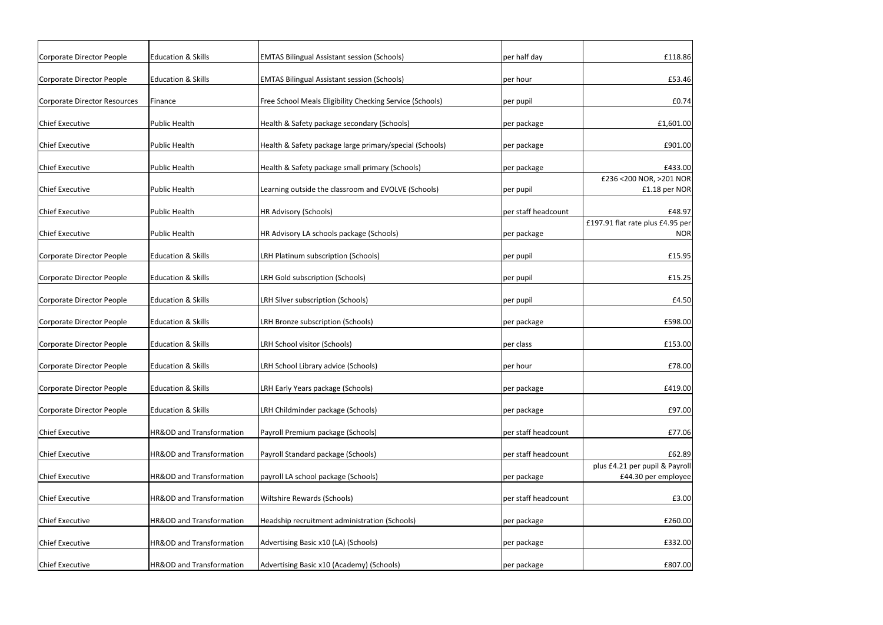| Corporate Director People    | <b>Education &amp; Skills</b> | <b>EMTAS Bilingual Assistant session (Schools)</b>       | per half day        | £118.86                                               |
|------------------------------|-------------------------------|----------------------------------------------------------|---------------------|-------------------------------------------------------|
| Corporate Director People    | <b>Education &amp; Skills</b> | <b>EMTAS Bilingual Assistant session (Schools)</b>       | per hour            | £53.46                                                |
| Corporate Director Resources | Finance                       | Free School Meals Eligibility Checking Service (Schools) | per pupil           | E0.74                                                 |
| <b>Chief Executive</b>       | <b>Public Health</b>          | Health & Safety package secondary (Schools)              | per package         | £1,601.00                                             |
| <b>Chief Executive</b>       | <b>Public Health</b>          | Health & Safety package large primary/special (Schools)  | per package         | £901.00                                               |
| <b>Chief Executive</b>       | <b>Public Health</b>          | Health & Safety package small primary (Schools)          | per package         | £433.00                                               |
| <b>Chief Executive</b>       | <b>Public Health</b>          | Learning outside the classroom and EVOLVE (Schools)      | per pupil           | £236 < 200 NOR, > 201 NOR<br>£1.18 per NOR            |
| <b>Chief Executive</b>       | <b>Public Health</b>          | HR Advisory (Schools)                                    | per staff headcount | £48.97                                                |
| <b>Chief Executive</b>       | <b>Public Health</b>          | HR Advisory LA schools package (Schools)                 | per package         | £197.91 flat rate plus £4.95 per<br><b>NOR</b>        |
| Corporate Director People    | <b>Education &amp; Skills</b> | LRH Platinum subscription (Schools)                      | per pupil           | £15.95                                                |
| Corporate Director People    | <b>Education &amp; Skills</b> | LRH Gold subscription (Schools)                          | per pupil           | £15.25                                                |
| Corporate Director People    | <b>Education &amp; Skills</b> | LRH Silver subscription (Schools)                        | per pupil           | £4.50                                                 |
| Corporate Director People    | <b>Education &amp; Skills</b> | LRH Bronze subscription (Schools)                        | per package         | £598.00                                               |
| Corporate Director People    | <b>Education &amp; Skills</b> | LRH School visitor (Schools)                             | per class           | £153.00                                               |
| Corporate Director People    | <b>Education &amp; Skills</b> | LRH School Library advice (Schools)                      | per hour            | £78.00                                                |
| Corporate Director People    | <b>Education &amp; Skills</b> | LRH Early Years package (Schools)                        | per package         | £419.00                                               |
| Corporate Director People    | <b>Education &amp; Skills</b> | LRH Childminder package (Schools)                        | per package         | £97.00                                                |
| <b>Chief Executive</b>       | HR&OD and Transformation      | Payroll Premium package (Schools)                        | per staff headcount | £77.06                                                |
| <b>Chief Executive</b>       | HR&OD and Transformation      | Payroll Standard package (Schools)                       | per staff headcount | £62.89                                                |
| <b>Chief Executive</b>       | HR&OD and Transformation      | payroll LA school package (Schools)                      | per package         | plus £4.21 per pupil & Payroll<br>£44.30 per employee |
| <b>Chief Executive</b>       | HR&OD and Transformation      | Wiltshire Rewards (Schools)                              | per staff headcount | £3.00                                                 |
| <b>Chief Executive</b>       | HR&OD and Transformation      | Headship recruitment administration (Schools)            | per package         | £260.00                                               |
| <b>Chief Executive</b>       | HR&OD and Transformation      | Advertising Basic x10 (LA) (Schools)                     | per package         | £332.00                                               |
| <b>Chief Executive</b>       | HR&OD and Transformation      | Advertising Basic x10 (Academy) (Schools)                | per package         | £807.00                                               |
|                              |                               |                                                          |                     |                                                       |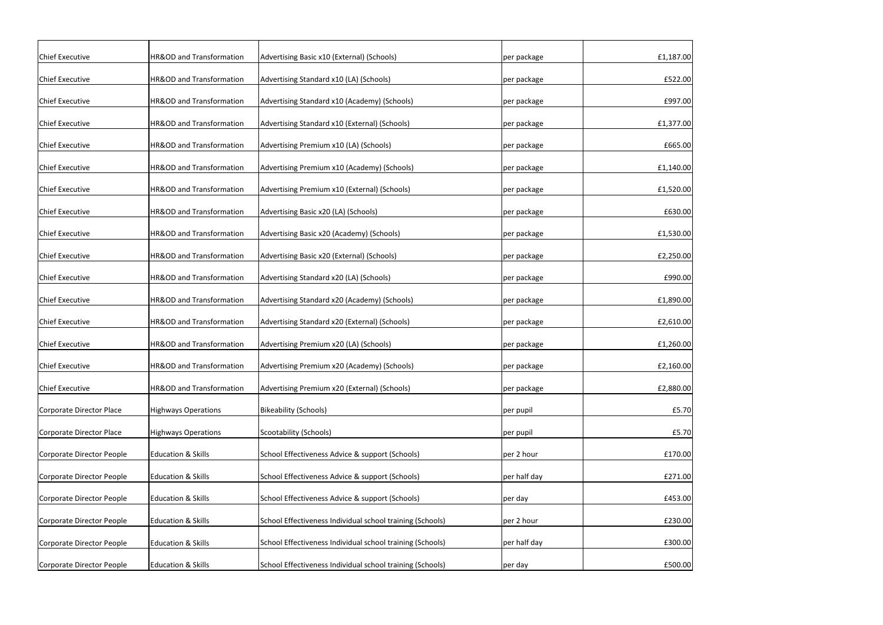| <b>Chief Executive</b>    | HR&OD and Transformation            | Advertising Basic x10 (External) (Schools)                | per package  | £1,187.00 |
|---------------------------|-------------------------------------|-----------------------------------------------------------|--------------|-----------|
| <b>Chief Executive</b>    | HR&OD and Transformation            | Advertising Standard x10 (LA) (Schools)                   | per package  | £522.00   |
| <b>Chief Executive</b>    | HR&OD and Transformation            | Advertising Standard x10 (Academy) (Schools)              | per package  | £997.00   |
| <b>Chief Executive</b>    | HR&OD and Transformation            | Advertising Standard x10 (External) (Schools)             | per package  | £1,377.00 |
| <b>Chief Executive</b>    | HR&OD and Transformation            | Advertising Premium x10 (LA) (Schools)                    | per package  | £665.00   |
| <b>Chief Executive</b>    | HR&OD and Transformation            | Advertising Premium x10 (Academy) (Schools)               | per package  | £1,140.00 |
| <b>Chief Executive</b>    | HR&OD and Transformation            | Advertising Premium x10 (External) (Schools)              | per package  | £1,520.00 |
| <b>Chief Executive</b>    | HR&OD and Transformation            | Advertising Basic x20 (LA) (Schools)                      | per package  | £630.00   |
| <b>Chief Executive</b>    | HR&OD and Transformation            | Advertising Basic x20 (Academy) (Schools)                 | per package  | £1,530.00 |
| <b>Chief Executive</b>    | HR&OD and Transformation            | Advertising Basic x20 (External) (Schools)                | per package  | £2,250.00 |
| <b>Chief Executive</b>    | HR&OD and Transformation            | Advertising Standard x20 (LA) (Schools)                   | per package  | £990.00   |
| <b>Chief Executive</b>    | HR&OD and Transformation            | Advertising Standard x20 (Academy) (Schools)              | per package  | £1,890.00 |
| <b>Chief Executive</b>    | HR&OD and Transformation            | Advertising Standard x20 (External) (Schools)             | per package  | £2,610.00 |
| <b>Chief Executive</b>    | HR&OD and Transformation            | Advertising Premium x20 (LA) (Schools)                    | per package  | £1,260.00 |
| <b>Chief Executive</b>    | HR&OD and Transformation            | Advertising Premium x20 (Academy) (Schools)               | per package  | £2,160.00 |
| <b>Chief Executive</b>    | <b>HR&amp;OD and Transformation</b> | Advertising Premium x20 (External) (Schools)              | per package  | £2,880.00 |
| Corporate Director Place  | <b>Highways Operations</b>          | <b>Bikeability (Schools)</b>                              | per pupil    | £5.70     |
| Corporate Director Place  | <b>Highways Operations</b>          | Scootability (Schools)                                    | per pupil    | £5.70     |
| Corporate Director People | <b>Education &amp; Skills</b>       | School Effectiveness Advice & support (Schools)           | per 2 hour   | £170.00   |
| Corporate Director People | <b>Education &amp; Skills</b>       | School Effectiveness Advice & support (Schools)           | per half day | £271.00   |
| Corporate Director People | <b>Education &amp; Skills</b>       | School Effectiveness Advice & support (Schools)           | per day      | £453.00   |
| Corporate Director People | <b>Education &amp; Skills</b>       | School Effectiveness Individual school training (Schools) | per 2 hour   | £230.00   |
| Corporate Director People | <b>Education &amp; Skills</b>       | School Effectiveness Individual school training (Schools) | per half day | £300.00   |
| Corporate Director People | <b>Education &amp; Skills</b>       | School Effectiveness Individual school training (Schools) | per day      | £500.00   |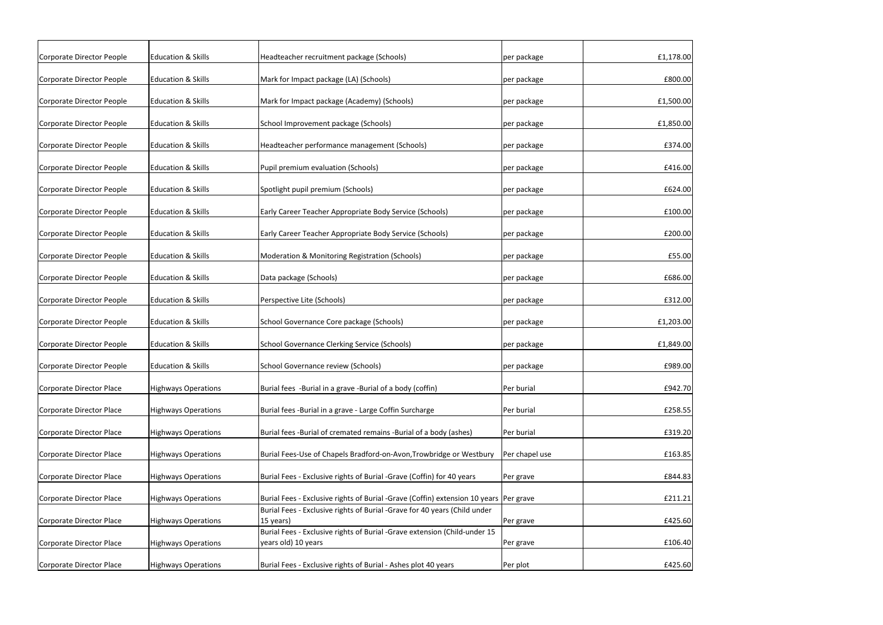| Corporate Director People | <b>Education &amp; Skills</b> | Headteacher recruitment package (Schools)                                                        | per package    | £1,178.00 |
|---------------------------|-------------------------------|--------------------------------------------------------------------------------------------------|----------------|-----------|
| Corporate Director People | <b>Education &amp; Skills</b> | Mark for Impact package (LA) (Schools)                                                           | per package    | £800.00   |
| Corporate Director People | <b>Education &amp; Skills</b> | Mark for Impact package (Academy) (Schools)                                                      | per package    | £1,500.00 |
| Corporate Director People | <b>Education &amp; Skills</b> | School Improvement package (Schools)                                                             | per package    | £1,850.00 |
| Corporate Director People | <b>Education &amp; Skills</b> | Headteacher performance management (Schools)                                                     | per package    | £374.00   |
| Corporate Director People | <b>Education &amp; Skills</b> | Pupil premium evaluation (Schools)                                                               | per package    | £416.00   |
| Corporate Director People | <b>Education &amp; Skills</b> | Spotlight pupil premium (Schools)                                                                | per package    | £624.00   |
| Corporate Director People | <b>Education &amp; Skills</b> | Early Career Teacher Appropriate Body Service (Schools)                                          | per package    | £100.00   |
| Corporate Director People | <b>Education &amp; Skills</b> | Early Career Teacher Appropriate Body Service (Schools)                                          | per package    | £200.00   |
| Corporate Director People | <b>Education &amp; Skills</b> | Moderation & Monitoring Registration (Schools)                                                   | per package    | £55.00    |
|                           | <b>Education &amp; Skills</b> |                                                                                                  |                | £686.00   |
| Corporate Director People |                               | Data package (Schools)                                                                           | per package    |           |
| Corporate Director People | <b>Education &amp; Skills</b> | Perspective Lite (Schools)                                                                       | per package    | £312.00   |
| Corporate Director People | <b>Education &amp; Skills</b> | School Governance Core package (Schools)                                                         | per package    | £1,203.00 |
| Corporate Director People | <b>Education &amp; Skills</b> | <b>School Governance Clerking Service (Schools)</b>                                              | per package    | £1,849.00 |
| Corporate Director People | <b>Education &amp; Skills</b> | <b>School Governance review (Schools)</b>                                                        | per package    | £989.00   |
| Corporate Director Place  | <b>Highways Operations</b>    | Burial fees -Burial in a grave -Burial of a body (coffin)                                        | Per burial     | £942.70   |
| Corporate Director Place  | <b>Highways Operations</b>    | Burial fees -Burial in a grave - Large Coffin Surcharge                                          | Per burial     | £258.55   |
| Corporate Director Place  | <b>Highways Operations</b>    | Burial fees -Burial of cremated remains -Burial of a body (ashes)                                | Per burial     | £319.20   |
| Corporate Director Place  | <b>Highways Operations</b>    | Burial Fees-Use of Chapels Bradford-on-Avon, Trowbridge or Westbury                              | Per chapel use | £163.85   |
| Corporate Director Place  | <b>Highways Operations</b>    | Burial Fees - Exclusive rights of Burial -Grave (Coffin) for 40 years                            | Per grave      | £844.83   |
| Corporate Director Place  | <b>Highways Operations</b>    | Burial Fees - Exclusive rights of Burial -Grave (Coffin) extension 10 years Per grave            |                | £211.21   |
|                           |                               | Burial Fees - Exclusive rights of Burial -Grave for 40 years (Child under                        |                |           |
| Corporate Director Place  | <b>Highways Operations</b>    | 15 years)                                                                                        | Per grave      | £425.60   |
| Corporate Director Place  | <b>Highways Operations</b>    | Burial Fees - Exclusive rights of Burial -Grave extension (Child-under 15<br>years old) 10 years | Per grave      | £106.40   |
|                           |                               |                                                                                                  |                |           |
| Corporate Director Place  | <b>Highways Operations</b>    | Burial Fees - Exclusive rights of Burial - Ashes plot 40 years                                   | Per plot       | £425.60   |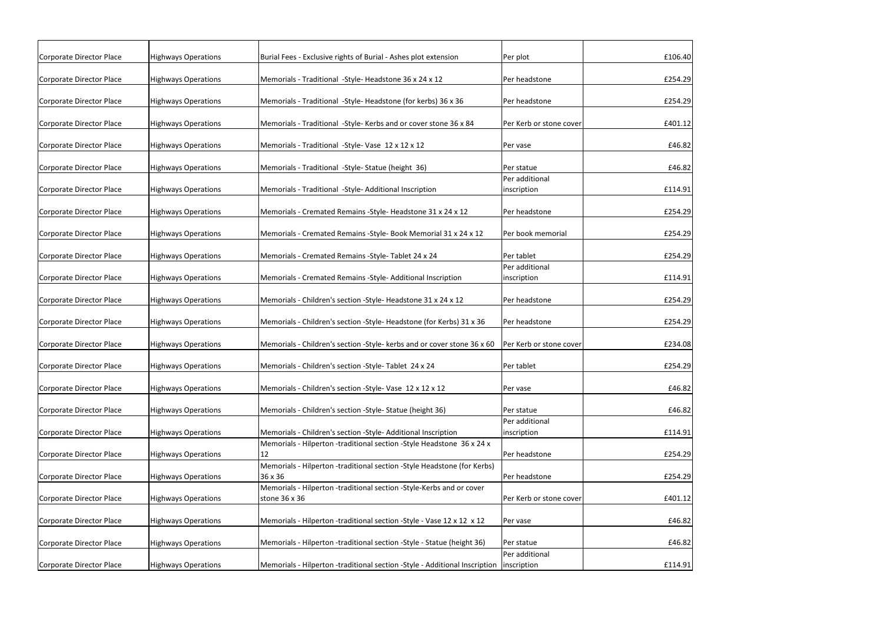| <b>Highways Operations</b> | Burial Fees - Exclusive rights of Burial - Ashes plot extension                        | Per plot                                                                                                                                                                                                                                                                                          | £106.40                                                                                                                                                                            |
|----------------------------|----------------------------------------------------------------------------------------|---------------------------------------------------------------------------------------------------------------------------------------------------------------------------------------------------------------------------------------------------------------------------------------------------|------------------------------------------------------------------------------------------------------------------------------------------------------------------------------------|
| <b>Highways Operations</b> | Memorials - Traditional - Style- Headstone 36 x 24 x 12                                | Per headstone                                                                                                                                                                                                                                                                                     | £254.29                                                                                                                                                                            |
| Highways Operations        | Memorials - Traditional -Style- Headstone (for kerbs) 36 x 36                          | Per headstone                                                                                                                                                                                                                                                                                     | £254.29                                                                                                                                                                            |
| <b>Highways Operations</b> | Memorials - Traditional -Style- Kerbs and or cover stone 36 x 84                       | Per Kerb or stone cover                                                                                                                                                                                                                                                                           | £401.12                                                                                                                                                                            |
| <b>Highways Operations</b> | Memorials - Traditional - Style- Vase 12 x 12 x 12                                     | <b>Per vase</b>                                                                                                                                                                                                                                                                                   | £46.82                                                                                                                                                                             |
| <b>Highways Operations</b> | Memorials - Traditional - Style- Statue (height 36)                                    | Per statue                                                                                                                                                                                                                                                                                        | £46.82                                                                                                                                                                             |
| <b>Highways Operations</b> | Memorials - Traditional -Style- Additional Inscription                                 | Per additional<br>inscription                                                                                                                                                                                                                                                                     | £114.91                                                                                                                                                                            |
| <b>Highways Operations</b> | Memorials - Cremated Remains - Style- Headstone 31 x 24 x 12                           | Per headstone                                                                                                                                                                                                                                                                                     | £254.29                                                                                                                                                                            |
| <b>Highways Operations</b> | Memorials - Cremated Remains - Style- Book Memorial 31 x 24 x 12                       | Per book memorial                                                                                                                                                                                                                                                                                 | £254.29                                                                                                                                                                            |
| <b>Highways Operations</b> | Memorials - Cremated Remains - Style- Tablet 24 x 24                                   | Per tablet                                                                                                                                                                                                                                                                                        | £254.29                                                                                                                                                                            |
| <b>Highways Operations</b> | Memorials - Cremated Remains - Style- Additional Inscription                           | Per additional<br>inscription                                                                                                                                                                                                                                                                     | £114.91                                                                                                                                                                            |
| <b>Highways Operations</b> | Memorials - Children's section - Style- Headstone 31 x 24 x 12                         | Per headstone                                                                                                                                                                                                                                                                                     | £254.29                                                                                                                                                                            |
| <b>Highways Operations</b> | Memorials - Children's section - Style- Headstone (for Kerbs) 31 x 36                  | Per headstone                                                                                                                                                                                                                                                                                     | £254.29                                                                                                                                                                            |
| <b>Highways Operations</b> | Memorials - Children's section - Style- kerbs and or cover stone 36 x 60               |                                                                                                                                                                                                                                                                                                   | £234.08                                                                                                                                                                            |
| <b>Highways Operations</b> | Memorials - Children's section - Style- Tablet 24 x 24                                 | Per tablet                                                                                                                                                                                                                                                                                        | £254.29                                                                                                                                                                            |
| <b>Highways Operations</b> | Memorials - Children's section -Style-Vase 12 x 12 x 12                                | Per vase                                                                                                                                                                                                                                                                                          | £46.82                                                                                                                                                                             |
| <b>Highways Operations</b> | Memorials - Children's section - Style- Statue (height 36)                             | Per statue                                                                                                                                                                                                                                                                                        | £46.82                                                                                                                                                                             |
|                            |                                                                                        | Per additional                                                                                                                                                                                                                                                                                    |                                                                                                                                                                                    |
|                            |                                                                                        |                                                                                                                                                                                                                                                                                                   | £114.91                                                                                                                                                                            |
|                            |                                                                                        |                                                                                                                                                                                                                                                                                                   | £254.29                                                                                                                                                                            |
|                            |                                                                                        |                                                                                                                                                                                                                                                                                                   |                                                                                                                                                                                    |
| <b>Highways Operations</b> | 36 x 36                                                                                | Per headstone                                                                                                                                                                                                                                                                                     | £254.29                                                                                                                                                                            |
|                            | Memorials - Hilperton -traditional section -Style-Kerbs and or cover                   |                                                                                                                                                                                                                                                                                                   |                                                                                                                                                                                    |
| <b>Highways Operations</b> | stone 36 x 36                                                                          | Per Kerb or stone cover                                                                                                                                                                                                                                                                           | £401.12                                                                                                                                                                            |
| <b>Highways Operations</b> | Memorials - Hilperton -traditional section -Style - Vase 12 x 12 x 12                  | Per vase                                                                                                                                                                                                                                                                                          | £46.82                                                                                                                                                                             |
|                            |                                                                                        |                                                                                                                                                                                                                                                                                                   | £46.82                                                                                                                                                                             |
|                            |                                                                                        |                                                                                                                                                                                                                                                                                                   |                                                                                                                                                                                    |
| <b>Highways Operations</b> |                                                                                        |                                                                                                                                                                                                                                                                                                   | £114.91                                                                                                                                                                            |
|                            | <b>Highways Operations</b><br><b>Highways Operations</b><br><b>Highways Operations</b> | Memorials - Children's section -Style- Additional Inscription<br>Memorials - Hilperton -traditional section -Style Headstone 36 x 24 x<br>12<br>Memorials - Hilperton -traditional section -Style Headstone (for Kerbs)<br>Memorials - Hilperton -traditional section -Style - Statue (height 36) | Per Kerb or stone cover<br>inscription<br>Per headstone<br>Per statue<br>Per additional<br>Memorials - Hilperton -traditional section -Style - Additional Inscription linscription |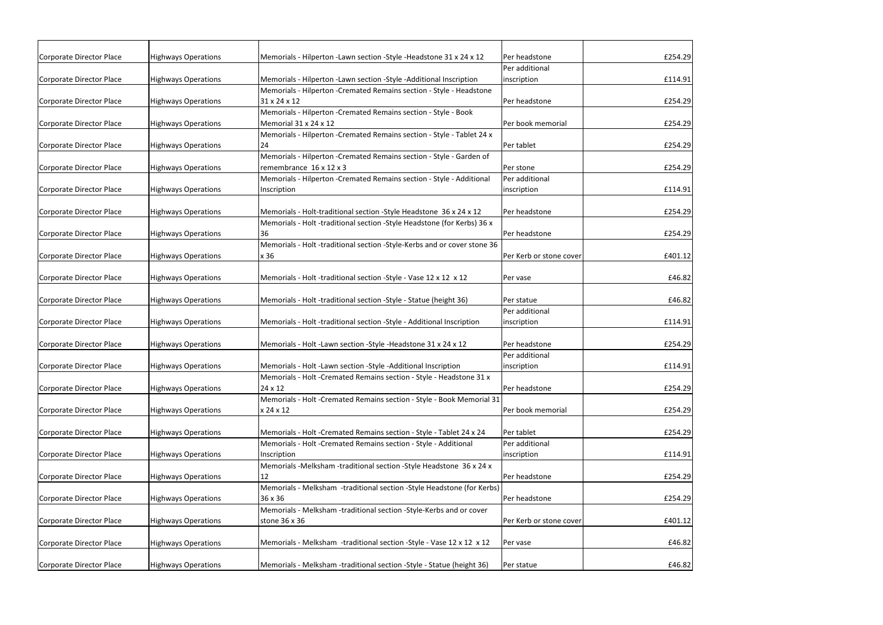| Corporate Director Place | <b>Highways Operations</b> | Memorials - Hilperton - Lawn section - Style - Headstone 31 x 24 x 12    | Per headstone           | £254.29 |
|--------------------------|----------------------------|--------------------------------------------------------------------------|-------------------------|---------|
|                          |                            |                                                                          | Per additional          |         |
| Corporate Director Place | <b>Highways Operations</b> | Memorials - Hilperton -Lawn section -Style -Additional Inscription       | inscription             | £114.91 |
|                          |                            | Memorials - Hilperton - Cremated Remains section - Style - Headstone     |                         |         |
| Corporate Director Place | <b>Highways Operations</b> | 31 x 24 x 12                                                             | Per headstone           | £254.29 |
|                          |                            | Memorials - Hilperton - Cremated Remains section - Style - Book          |                         |         |
| Corporate Director Place | <b>Highways Operations</b> | Memorial 31 x 24 x 12                                                    | Per book memorial       | £254.29 |
|                          |                            | Memorials - Hilperton - Cremated Remains section - Style - Tablet 24 x   |                         |         |
| Corporate Director Place | <b>Highways Operations</b> | 24                                                                       | Per tablet              | £254.29 |
|                          |                            | Memorials - Hilperton - Cremated Remains section - Style - Garden of     |                         |         |
| Corporate Director Place | <b>Highways Operations</b> | remembrance 16 x 12 x 3                                                  | Per stone               | £254.29 |
|                          |                            | Memorials - Hilperton - Cremated Remains section - Style - Additional    | Per additional          |         |
| Corporate Director Place | <b>Highways Operations</b> | Inscription                                                              | inscription             | £114.91 |
|                          |                            |                                                                          |                         |         |
| Corporate Director Place | <b>Highways Operations</b> | Memorials - Holt-traditional section - Style Headstone 36 x 24 x 12      | Per headstone           | £254.29 |
|                          |                            | Memorials - Holt -traditional section -Style Headstone (for Kerbs) 36 x  |                         |         |
| Corporate Director Place | <b>Highways Operations</b> | 36                                                                       | Per headstone           | £254.29 |
|                          |                            | Memorials - Holt -traditional section -Style-Kerbs and or cover stone 36 |                         |         |
| Corporate Director Place | <b>Highways Operations</b> | x 36                                                                     | Per Kerb or stone cover | £401.12 |
|                          |                            |                                                                          |                         |         |
| Corporate Director Place | <b>Highways Operations</b> | Memorials - Holt -traditional section -Style - Vase 12 x 12 x 12         | Per vase                | £46.82  |
| Corporate Director Place | <b>Highways Operations</b> | Memorials - Holt -traditional section -Style - Statue (height 36)        | Per statue              | £46.82  |
|                          |                            |                                                                          | Per additional          |         |
| Corporate Director Place | <b>Highways Operations</b> | Memorials - Holt -traditional section -Style - Additional Inscription    | inscription             | £114.91 |
|                          |                            |                                                                          |                         |         |
| Corporate Director Place | <b>Highways Operations</b> | Memorials - Holt -Lawn section -Style -Headstone 31 x 24 x 12            | Per headstone           | £254.29 |
|                          |                            |                                                                          | Per additional          |         |
| Corporate Director Place | <b>Highways Operations</b> | Memorials - Holt -Lawn section -Style -Additional Inscription            | inscription             | £114.91 |
|                          |                            | Memorials - Holt - Cremated Remains section - Style - Headstone 31 x     |                         |         |
| Corporate Director Place | <b>Highways Operations</b> | 24 x 12                                                                  | Per headstone           | £254.29 |
|                          |                            | Memorials - Holt - Cremated Remains section - Style - Book Memorial 31   |                         |         |
| Corporate Director Place | <b>Highways Operations</b> | x 24 x 12                                                                | Per book memorial       | £254.29 |
|                          |                            |                                                                          |                         |         |
| Corporate Director Place | <b>Highways Operations</b> | Memorials - Holt - Cremated Remains section - Style - Tablet 24 x 24     | Per tablet              | £254.29 |
|                          |                            | Memorials - Holt - Cremated Remains section - Style - Additional         | Per additional          |         |
| Corporate Director Place | <b>Highways Operations</b> | Inscription                                                              | inscription             | £114.91 |
|                          |                            | Memorials -Melksham -traditional section -Style Headstone 36 x 24 x      |                         |         |
| Corporate Director Place | <b>Highways Operations</b> | 12                                                                       | Per headstone           | £254.29 |
|                          |                            | Memorials - Melksham -traditional section -Style Headstone (for Kerbs)   |                         |         |
| Corporate Director Place | <b>Highways Operations</b> | 36 x 36                                                                  | Per headstone           | £254.29 |
|                          |                            | Memorials - Melksham -traditional section -Style-Kerbs and or cover      |                         |         |
| Corporate Director Place | <b>Highways Operations</b> | stone 36 x 36                                                            | Per Kerb or stone cover | £401.12 |
|                          |                            |                                                                          |                         |         |
| Corporate Director Place | <b>Highways Operations</b> | Memorials - Melksham -traditional section -Style - Vase 12 x 12 x 12     | Per vase                | £46.82  |
|                          |                            |                                                                          |                         |         |
| Corporate Director Place | <b>Highways Operations</b> | Memorials - Melksham -traditional section -Style - Statue (height 36)    | Per statue              | £46.82  |
|                          |                            |                                                                          |                         |         |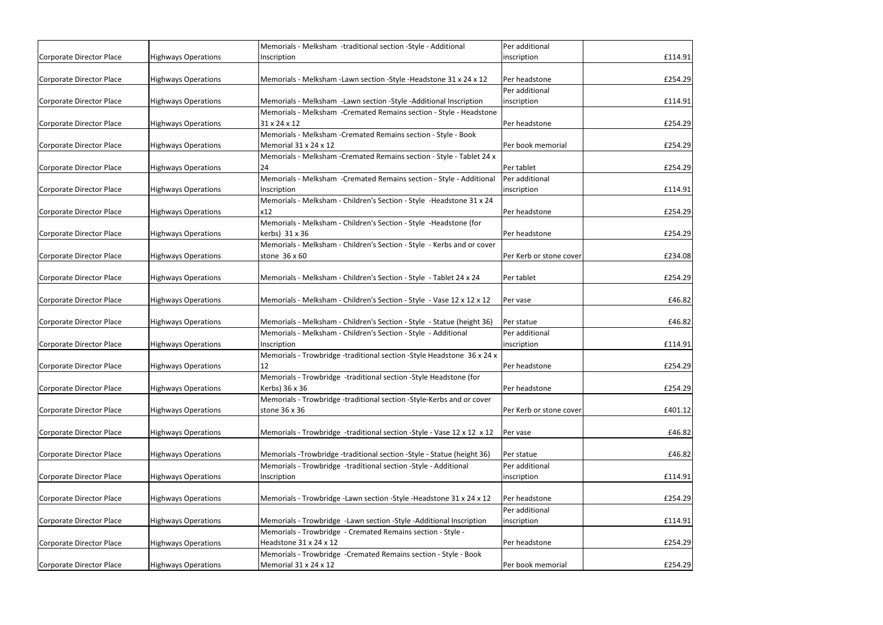|                          |                            | Memorials - Melksham -traditional section -Style - Additional                                                                            | Per additional          |         |
|--------------------------|----------------------------|------------------------------------------------------------------------------------------------------------------------------------------|-------------------------|---------|
| Corporate Director Place | <b>Highways Operations</b> | Inscription                                                                                                                              | inscription             | £114.91 |
|                          |                            |                                                                                                                                          |                         |         |
| Corporate Director Place | <b>Highways Operations</b> | Memorials - Melksham -Lawn section -Style -Headstone 31 x 24 x 12                                                                        | Per headstone           | £254.29 |
|                          |                            |                                                                                                                                          | Per additional          | £114.91 |
| Corporate Director Place | <b>Highways Operations</b> | Memorials - Melksham -Lawn section -Style -Additional Inscription<br>Memorials - Melksham - Cremated Remains section - Style - Headstone | inscription             |         |
| Corporate Director Place | <b>Highways Operations</b> | 31 x 24 x 12                                                                                                                             | Per headstone           | £254.29 |
|                          |                            | Memorials - Melksham - Cremated Remains section - Style - Book                                                                           |                         |         |
| Corporate Director Place | <b>Highways Operations</b> | Memorial 31 x 24 x 12                                                                                                                    | Per book memorial       | £254.29 |
|                          |                            | Memorials - Melksham - Cremated Remains section - Style - Tablet 24 x                                                                    |                         |         |
| Corporate Director Place | <b>Highways Operations</b> | 24                                                                                                                                       | Per tablet              | £254.29 |
|                          |                            | Memorials - Melksham - Cremated Remains section - Style - Additional                                                                     | Per additional          |         |
| Corporate Director Place | <b>Highways Operations</b> | Inscription                                                                                                                              | inscription             | £114.91 |
|                          |                            | Memorials - Melksham - Children's Section - Style - Headstone 31 x 24                                                                    |                         |         |
| Corporate Director Place | <b>Highways Operations</b> | x12                                                                                                                                      | Per headstone           | £254.29 |
|                          |                            | Memorials - Melksham - Children's Section - Style - Headstone (for                                                                       |                         |         |
| Corporate Director Place | <b>Highways Operations</b> | kerbs) 31 x 36                                                                                                                           | Per headstone           | £254.29 |
|                          |                            | Memorials - Melksham - Children's Section - Style - Kerbs and or cover                                                                   |                         |         |
| Corporate Director Place | <b>Highways Operations</b> | stone 36 x 60                                                                                                                            | Per Kerb or stone cover | £234.08 |
|                          |                            |                                                                                                                                          |                         |         |
| Corporate Director Place | <b>Highways Operations</b> | Memorials - Melksham - Children's Section - Style - Tablet 24 x 24                                                                       | Per tablet              | £254.29 |
|                          |                            |                                                                                                                                          |                         |         |
| Corporate Director Place | <b>Highways Operations</b> | Memorials - Melksham - Children's Section - Style - Vase 12 x 12 x 12                                                                    | Per vase                | £46.82  |
|                          |                            |                                                                                                                                          |                         |         |
| Corporate Director Place | <b>Highways Operations</b> | Memorials - Melksham - Children's Section - Style - Statue (height 36)                                                                   | Per statue              | £46.82  |
|                          |                            | Memorials - Melksham - Children's Section - Style - Additional                                                                           | Per additional          |         |
| Corporate Director Place | <b>Highways Operations</b> | Inscription                                                                                                                              | inscription             | £114.91 |
|                          |                            | Memorials - Trowbridge -traditional section -Style Headstone 36 x 24 x                                                                   |                         |         |
| Corporate Director Place | <b>Highways Operations</b> | 12                                                                                                                                       | Per headstone           | £254.29 |
|                          |                            | Memorials - Trowbridge -traditional section - Style Headstone (for                                                                       |                         |         |
| Corporate Director Place | <b>Highways Operations</b> | Kerbs) 36 x 36                                                                                                                           | Per headstone           | £254.29 |
|                          |                            | Memorials - Trowbridge -traditional section -Style-Kerbs and or cover                                                                    |                         |         |
| Corporate Director Place | <b>Highways Operations</b> | stone 36 x 36                                                                                                                            | Per Kerb or stone cover | £401.12 |
|                          |                            |                                                                                                                                          |                         |         |
| Corporate Director Place | <b>Highways Operations</b> | Memorials - Trowbridge -traditional section -Style - Vase 12 x 12 x 12                                                                   | Per vase                | £46.82  |
|                          |                            |                                                                                                                                          |                         |         |
| Corporate Director Place | <b>Highways Operations</b> | Memorials -Trowbridge -traditional section -Style - Statue (height 36)                                                                   | Per statue              | £46.82  |
|                          |                            | Memorials - Trowbridge -traditional section -Style - Additional                                                                          | Per additional          |         |
| Corporate Director Place | <b>Highways Operations</b> | Inscription                                                                                                                              | inscription             | £114.91 |
|                          |                            |                                                                                                                                          |                         |         |
| Corporate Director Place | <b>Highways Operations</b> | Memorials - Trowbridge - Lawn section - Style - Headstone 31 x 24 x 12                                                                   | Per headstone           | £254.29 |
|                          |                            |                                                                                                                                          | Per additional          |         |
| Corporate Director Place | <b>Highways Operations</b> | Memorials - Trowbridge -Lawn section -Style -Additional Inscription                                                                      | inscription             | £114.91 |
|                          |                            | Memorials - Trowbridge - Cremated Remains section - Style -                                                                              |                         |         |
| Corporate Director Place | <b>Highways Operations</b> | Headstone 31 x 24 x 12                                                                                                                   | Per headstone           | £254.29 |
|                          |                            | Memorials - Trowbridge - Cremated Remains section - Style - Book                                                                         |                         |         |
| Corporate Director Place | <b>Highways Operations</b> | Memorial 31 x 24 x 12                                                                                                                    | Per book memorial       | £254.29 |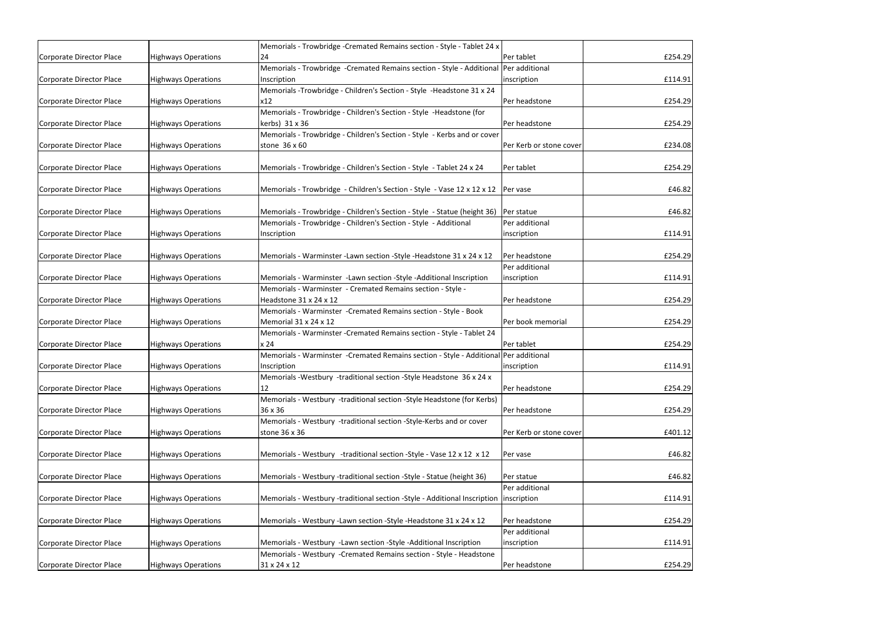| Corporate Director Place | <b>Highways Operations</b> | Memorials - Trowbridge - Cremated Remains section - Style - Tablet 24 x<br>24          | Per tablet              | £254.29 |
|--------------------------|----------------------------|----------------------------------------------------------------------------------------|-------------------------|---------|
|                          |                            |                                                                                        |                         |         |
|                          |                            | Memorials - Trowbridge - Cremated Remains section - Style - Additional Per additional  |                         |         |
| Corporate Director Place | <b>Highways Operations</b> | Inscription                                                                            | inscription             | £114.91 |
|                          |                            | Memorials -Trowbridge - Children's Section - Style -Headstone 31 x 24                  |                         |         |
| Corporate Director Place | <b>Highways Operations</b> | x12                                                                                    | Per headstone           | £254.29 |
|                          |                            | Memorials - Trowbridge - Children's Section - Style - Headstone (for                   |                         |         |
| Corporate Director Place | <b>Highways Operations</b> | kerbs) 31 x 36                                                                         | Per headstone           | £254.29 |
|                          |                            | Memorials - Trowbridge - Children's Section - Style - Kerbs and or cover               |                         |         |
| Corporate Director Place | <b>Highways Operations</b> | stone 36 x 60                                                                          | Per Kerb or stone cover | £234.08 |
|                          |                            |                                                                                        |                         |         |
| Corporate Director Place | <b>Highways Operations</b> | Memorials - Trowbridge - Children's Section - Style - Tablet 24 x 24                   | Per tablet              | £254.29 |
|                          |                            |                                                                                        |                         |         |
| Corporate Director Place | <b>Highways Operations</b> | Memorials - Trowbridge - Children's Section - Style - Vase 12 x 12 x 12   Per vase     |                         | £46.82  |
|                          |                            |                                                                                        |                         |         |
| Corporate Director Place | <b>Highways Operations</b> | Memorials - Trowbridge - Children's Section - Style - Statue (height 36)   Per statue  |                         | £46.82  |
|                          |                            | Memorials - Trowbridge - Children's Section - Style - Additional                       | Per additional          |         |
| Corporate Director Place | <b>Highways Operations</b> | Inscription                                                                            | inscription             | £114.91 |
|                          |                            |                                                                                        |                         |         |
| Corporate Director Place | <b>Highways Operations</b> | Memorials - Warminster - Lawn section - Style - Headstone 31 x 24 x 12                 | Per headstone           | £254.29 |
|                          |                            |                                                                                        | Per additional          |         |
| Corporate Director Place | <b>Highways Operations</b> | Memorials - Warminster -Lawn section -Style -Additional Inscription                    | inscription             | £114.91 |
|                          |                            | Memorials - Warminster - Cremated Remains section - Style -                            |                         |         |
| Corporate Director Place | <b>Highways Operations</b> | Headstone 31 x 24 x 12                                                                 | Per headstone           | £254.29 |
|                          |                            | Memorials - Warminster - Cremated Remains section - Style - Book                       |                         |         |
| Corporate Director Place | <b>Highways Operations</b> | Memorial 31 x 24 x 12                                                                  | Per book memorial       | £254.29 |
|                          |                            | Memorials - Warminster - Cremated Remains section - Style - Tablet 24                  |                         |         |
| Corporate Director Place | <b>Highways Operations</b> | x 24                                                                                   | Per tablet              | £254.29 |
|                          |                            | Memorials - Warminster -Cremated Remains section - Style - Additional Per additional   |                         |         |
|                          |                            |                                                                                        |                         |         |
| Corporate Director Place | <b>Highways Operations</b> | Inscription                                                                            | inscription             | £114.91 |
|                          |                            | Memorials - Westbury - traditional section - Style Headstone 36 x 24 x                 |                         |         |
| Corporate Director Place | <b>Highways Operations</b> | 12                                                                                     | Per headstone           | £254.29 |
|                          |                            | Memorials - Westbury -traditional section -Style Headstone (for Kerbs)                 |                         |         |
| Corporate Director Place | <b>Highways Operations</b> | 36 x 36                                                                                | Per headstone           | £254.29 |
|                          |                            | Memorials - Westbury -traditional section -Style-Kerbs and or cover                    |                         |         |
| Corporate Director Place | <b>Highways Operations</b> | stone 36 x 36                                                                          | Per Kerb or stone cover | £401.12 |
|                          |                            |                                                                                        |                         |         |
| Corporate Director Place | <b>Highways Operations</b> | Memorials - Westbury -traditional section -Style - Vase 12 x 12 x 12                   | Per vase                | £46.82  |
|                          |                            |                                                                                        |                         |         |
| Corporate Director Place | <b>Highways Operations</b> | Memorials - Westbury -traditional section -Style - Statue (height 36)                  | Per statue              | £46.82  |
|                          |                            |                                                                                        | Per additional          |         |
| Corporate Director Place | <b>Highways Operations</b> | Memorials - Westbury -traditional section -Style - Additional Inscription linscription |                         | £114.91 |
|                          |                            |                                                                                        |                         |         |
| Corporate Director Place | <b>Highways Operations</b> | Memorials - Westbury - Lawn section - Style - Headstone 31 x 24 x 12                   | Per headstone           | £254.29 |
|                          |                            |                                                                                        | Per additional          |         |
| Corporate Director Place | <b>Highways Operations</b> | Memorials - Westbury -Lawn section -Style -Additional Inscription                      | inscription             | £114.91 |
|                          |                            | Memorials - Westbury - Cremated Remains section - Style - Headstone                    |                         |         |
| Corporate Director Place | <b>Highways Operations</b> | 31 x 24 x 12                                                                           | Per headstone           | £254.29 |
|                          |                            |                                                                                        |                         |         |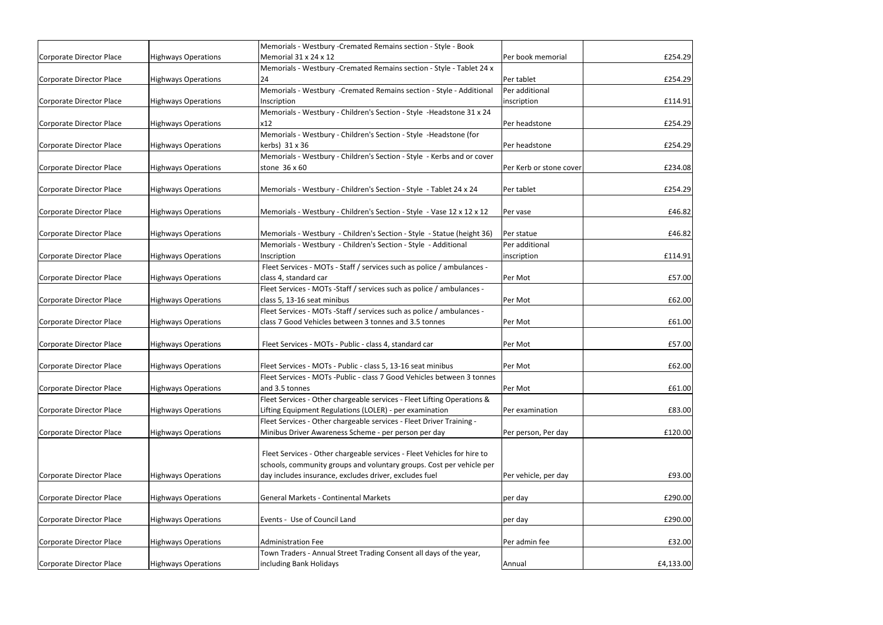|                          |                            | Memorials - Westbury - Cremated Remains section - Style - Book          |                         |           |
|--------------------------|----------------------------|-------------------------------------------------------------------------|-------------------------|-----------|
| Corporate Director Place | <b>Highways Operations</b> | Memorial 31 x 24 x 12                                                   | Per book memorial       | £254.29   |
|                          |                            | Memorials - Westbury - Cremated Remains section - Style - Tablet 24 x   |                         |           |
| Corporate Director Place | <b>Highways Operations</b> | 24                                                                      | Per tablet              | £254.29   |
|                          |                            | Memorials - Westbury - Cremated Remains section - Style - Additional    | Per additional          |           |
| Corporate Director Place | <b>Highways Operations</b> | Inscription                                                             | inscription             | £114.91   |
|                          |                            | Memorials - Westbury - Children's Section - Style - Headstone 31 x 24   |                         |           |
| Corporate Director Place | <b>Highways Operations</b> | x12                                                                     | Per headstone           | £254.29   |
|                          |                            | Memorials - Westbury - Children's Section - Style - Headstone (for      |                         |           |
| Corporate Director Place | <b>Highways Operations</b> | kerbs) 31 x 36                                                          | Per headstone           | £254.29   |
|                          |                            | Memorials - Westbury - Children's Section - Style - Kerbs and or cover  |                         |           |
| Corporate Director Place | <b>Highways Operations</b> | stone 36 x 60                                                           | Per Kerb or stone cover | £234.08   |
|                          |                            |                                                                         |                         |           |
| Corporate Director Place | <b>Highways Operations</b> | Memorials - Westbury - Children's Section - Style - Tablet 24 x 24      | Per tablet              | £254.29   |
|                          |                            |                                                                         |                         |           |
| Corporate Director Place | <b>Highways Operations</b> | Memorials - Westbury - Children's Section - Style - Vase 12 x 12 x 12   | Per vase                | £46.82    |
|                          |                            |                                                                         |                         |           |
| Corporate Director Place | <b>Highways Operations</b> | Memorials - Westbury - Children's Section - Style - Statue (height 36)  | Per statue              | £46.82    |
|                          |                            |                                                                         |                         |           |
|                          |                            | Memorials - Westbury - Children's Section - Style - Additional          | Per additional          |           |
| Corporate Director Place | <b>Highways Operations</b> | Inscription                                                             | inscription             | £114.91   |
|                          |                            | Fleet Services - MOTs - Staff / services such as police / ambulances -  |                         |           |
| Corporate Director Place | <b>Highways Operations</b> | class 4, standard car                                                   | Per Mot                 | £57.00    |
|                          |                            | Fleet Services - MOTs -Staff / services such as police / ambulances -   |                         |           |
| Corporate Director Place | <b>Highways Operations</b> | class 5, 13-16 seat minibus                                             | Per Mot                 | £62.00    |
|                          |                            | Fleet Services - MOTs -Staff / services such as police / ambulances -   |                         |           |
| Corporate Director Place | <b>Highways Operations</b> | class 7 Good Vehicles between 3 tonnes and 3.5 tonnes                   | Per Mot                 | £61.00    |
|                          |                            |                                                                         |                         |           |
| Corporate Director Place | <b>Highways Operations</b> | Fleet Services - MOTs - Public - class 4, standard car                  | Per Mot                 | £57.00    |
|                          |                            |                                                                         |                         |           |
| Corporate Director Place | <b>Highways Operations</b> | Fleet Services - MOTs - Public - class 5, 13-16 seat minibus            | Per Mot                 | £62.00    |
|                          |                            | Fleet Services - MOTs -Public - class 7 Good Vehicles between 3 tonnes  |                         |           |
| Corporate Director Place | <b>Highways Operations</b> | and 3.5 tonnes                                                          | Per Mot                 | £61.00    |
|                          |                            | Fleet Services - Other chargeable services - Fleet Lifting Operations & |                         |           |
| Corporate Director Place | <b>Highways Operations</b> | Lifting Equipment Regulations (LOLER) - per examination                 | Per examination         | £83.00    |
|                          |                            | Fleet Services - Other chargeable services - Fleet Driver Training -    |                         |           |
| Corporate Director Place | <b>Highways Operations</b> | Minibus Driver Awareness Scheme - per person per day                    | Per person, Per day     | £120.00   |
|                          |                            |                                                                         |                         |           |
|                          |                            | Fleet Services - Other chargeable services - Fleet Vehicles for hire to |                         |           |
|                          |                            | schools, community groups and voluntary groups. Cost per vehicle per    |                         |           |
|                          |                            |                                                                         |                         |           |
| Corporate Director Place | <b>Highways Operations</b> | day includes insurance, excludes driver, excludes fuel                  | Per vehicle, per day    | £93.00    |
|                          |                            |                                                                         |                         |           |
| Corporate Director Place | <b>Highways Operations</b> | <b>General Markets - Continental Markets</b>                            | per day                 | £290.00   |
|                          |                            |                                                                         |                         |           |
| Corporate Director Place | <b>Highways Operations</b> | Events - Use of Council Land                                            | per day                 | £290.00   |
|                          |                            |                                                                         |                         |           |
| Corporate Director Place | <b>Highways Operations</b> | <b>Administration Fee</b>                                               | Per admin fee           | £32.00    |
|                          |                            | Town Traders - Annual Street Trading Consent all days of the year,      |                         |           |
| Corporate Director Place | <b>Highways Operations</b> | including Bank Holidays                                                 | <b>Annual</b>           | £4,133.00 |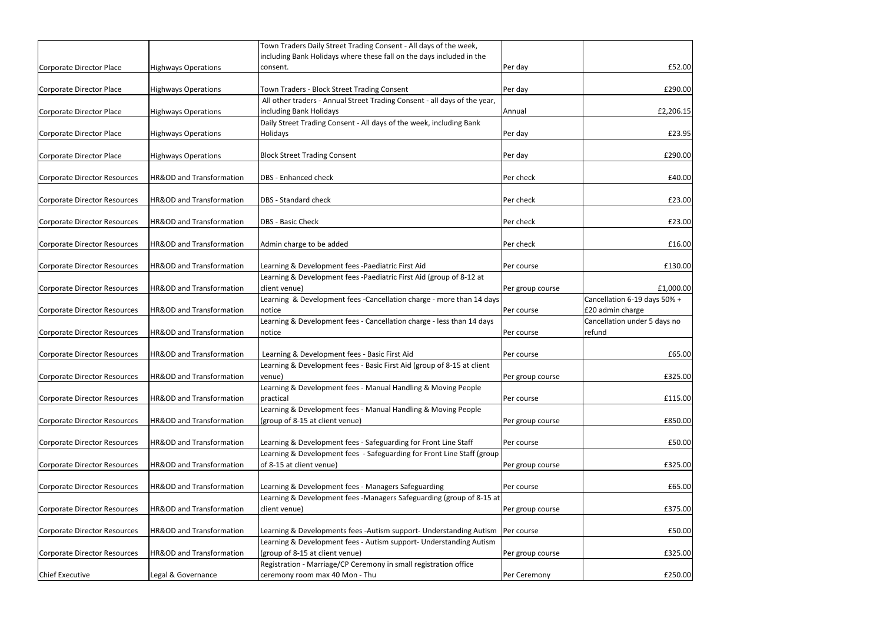|                                     |                            | Town Traders Daily Street Trading Consent - All days of the week,         |                  |                              |
|-------------------------------------|----------------------------|---------------------------------------------------------------------------|------------------|------------------------------|
|                                     |                            | including Bank Holidays where these fall on the days included in the      |                  |                              |
| Corporate Director Place            | <b>Highways Operations</b> | consent.                                                                  | Per day          | £52.00                       |
|                                     |                            |                                                                           |                  |                              |
| Corporate Director Place            | <b>Highways Operations</b> | Town Traders - Block Street Trading Consent                               | Per day          | £290.00                      |
|                                     |                            | All other traders - Annual Street Trading Consent - all days of the year, |                  |                              |
| Corporate Director Place            | <b>Highways Operations</b> | including Bank Holidays                                                   | Annual           | £2,206.15                    |
|                                     |                            | Daily Street Trading Consent - All days of the week, including Bank       |                  |                              |
| Corporate Director Place            | <b>Highways Operations</b> | <b>Holidays</b>                                                           | Per day          | £23.95                       |
|                                     |                            |                                                                           |                  |                              |
| Corporate Director Place            | <b>Highways Operations</b> | <b>Block Street Trading Consent</b>                                       | Per day          | £290.00                      |
|                                     |                            |                                                                           |                  |                              |
| Corporate Director Resources        | HR&OD and Transformation   | <b>DBS</b> - Enhanced check                                               | <b>Per check</b> | £40.00                       |
| <b>Corporate Director Resources</b> | HR&OD and Transformation   | <b>DBS</b> - Standard check                                               | Per check        | £23.00                       |
|                                     |                            |                                                                           |                  |                              |
| Corporate Director Resources        | HR&OD and Transformation   | <b>DBS</b> - Basic Check                                                  | Per check        | £23.00                       |
|                                     |                            |                                                                           |                  |                              |
| <b>Corporate Director Resources</b> | HR&OD and Transformation   | Admin charge to be added                                                  | Per check        | £16.00                       |
|                                     |                            |                                                                           |                  |                              |
| Corporate Director Resources        | HR&OD and Transformation   | Learning & Development fees -Paediatric First Aid                         | [Per course      | £130.00                      |
|                                     |                            | Learning & Development fees -Paediatric First Aid (group of 8-12 at       |                  |                              |
| Corporate Director Resources        | HR&OD and Transformation   | client venue)                                                             | Per group course | £1,000.00                    |
|                                     |                            | Learning & Development fees -Cancellation charge - more than 14 days      |                  | Cancellation 6-19 days 50% + |
| Corporate Director Resources        | HR&OD and Transformation   | notice                                                                    | Per course       | £20 admin charge             |
|                                     |                            | Learning & Development fees - Cancellation charge - less than 14 days     |                  | Cancellation under 5 days no |
| Corporate Director Resources        | HR&OD and Transformation   | notice                                                                    | Per course       | refund                       |
|                                     | HR&OD and Transformation   |                                                                           |                  |                              |
| Corporate Director Resources        |                            | Learning & Development fees - Basic First Aid                             | [Per course      | £65.00                       |
|                                     |                            | Learning & Development fees - Basic First Aid (group of 8-15 at client    |                  |                              |
| Corporate Director Resources        | HR&OD and Transformation   | venue)                                                                    | Per group course | £325.00                      |
|                                     |                            | Learning & Development fees - Manual Handling & Moving People             |                  |                              |
| Corporate Director Resources        | HR&OD and Transformation   | practical                                                                 | Per course       | £115.00                      |
|                                     |                            | Learning & Development fees - Manual Handling & Moving People             |                  |                              |
| Corporate Director Resources        | HR&OD and Transformation   | (group of 8-15 at client venue)                                           | Per group course | £850.00                      |
|                                     |                            |                                                                           |                  |                              |
| Corporate Director Resources        | HR&OD and Transformation   | Learning & Development fees - Safeguarding for Front Line Staff           | Per course       | £50.00                       |
|                                     |                            | Learning & Development fees - Safeguarding for Front Line Staff (group    |                  |                              |
| Corporate Director Resources        | HR&OD and Transformation   | of 8-15 at client venue)                                                  | Per group course | £325.00                      |
| Corporate Director Resources        | HR&OD and Transformation   | Learning & Development fees - Managers Safeguarding                       |                  | £65.00                       |
|                                     |                            | Learning & Development fees -Managers Safeguarding (group of 8-15 at      | Per course       |                              |
|                                     | HR&OD and Transformation   |                                                                           |                  | £375.00                      |
| Corporate Director Resources        |                            | client venue)                                                             | Per group course |                              |
| Corporate Director Resources        | HR&OD and Transformation   | Learning & Developments fees -Autism support- Understanding Autism        | Per course       | £50.00                       |
|                                     |                            | Learning & Development fees - Autism support- Understanding Autism        |                  |                              |
| Corporate Director Resources        | HR&OD and Transformation   | (group of 8-15 at client venue)                                           | Per group course | £325.00                      |
|                                     |                            | Registration - Marriage/CP Ceremony in small registration office          |                  |                              |
| <b>Chief Executive</b>              | Legal & Governance         | ceremony room max 40 Mon - Thu                                            | Per Ceremony     | £250.00                      |
|                                     |                            |                                                                           |                  |                              |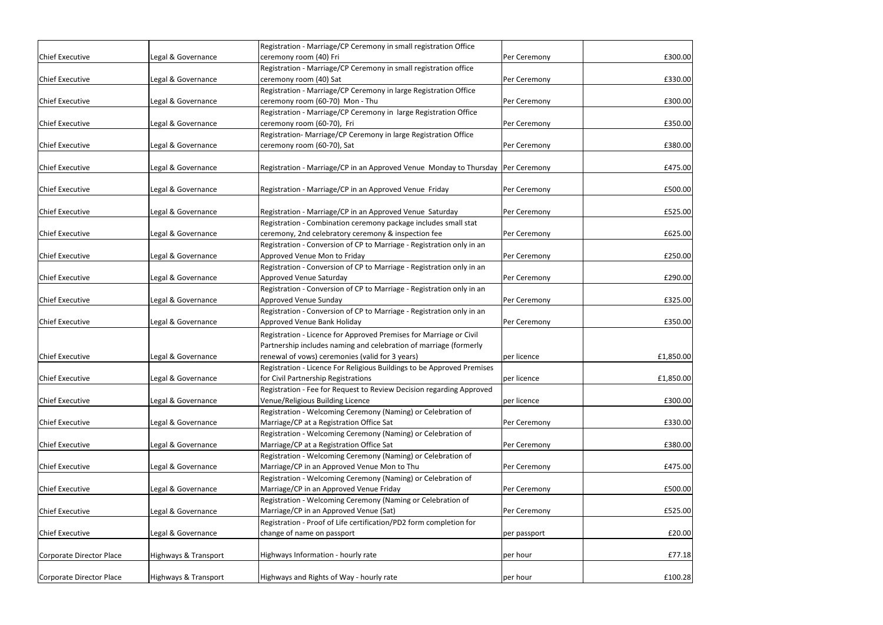|                          |                      | Registration - Marriage/CP Ceremony in small registration Office                 |              |           |
|--------------------------|----------------------|----------------------------------------------------------------------------------|--------------|-----------|
| <b>Chief Executive</b>   | Legal & Governance   | ceremony room (40) Fri                                                           | Per Ceremony | £300.00   |
|                          |                      | Registration - Marriage/CP Ceremony in small registration office                 |              |           |
| <b>Chief Executive</b>   | Legal & Governance   | ceremony room (40) Sat                                                           | Per Ceremony | £330.00   |
|                          |                      | Registration - Marriage/CP Ceremony in large Registration Office                 |              |           |
| <b>Chief Executive</b>   | Legal & Governance   | ceremony room (60-70) Mon - Thu                                                  | Per Ceremony | £300.00   |
|                          |                      | Registration - Marriage/CP Ceremony in large Registration Office                 |              |           |
| <b>Chief Executive</b>   | Legal & Governance   | ceremony room (60-70), Fri                                                       | Per Ceremony | £350.00   |
|                          |                      | Registration- Marriage/CP Ceremony in large Registration Office                  |              |           |
| <b>Chief Executive</b>   | Legal & Governance   | ceremony room (60-70), Sat                                                       | Per Ceremony | £380.00   |
|                          |                      |                                                                                  |              |           |
| <b>Chief Executive</b>   | Legal & Governance   | Registration - Marriage/CP in an Approved Venue Monday to Thursday  Per Ceremony |              | £475.00   |
|                          |                      |                                                                                  |              |           |
| <b>Chief Executive</b>   | Legal & Governance   | Registration - Marriage/CP in an Approved Venue Friday                           | Per Ceremony | £500.00   |
|                          |                      |                                                                                  |              |           |
| <b>Chief Executive</b>   | Legal & Governance   | Registration - Marriage/CP in an Approved Venue Saturday                         | Per Ceremony | £525.00   |
|                          |                      | Registration - Combination ceremony package includes small stat                  |              |           |
| <b>Chief Executive</b>   | Legal & Governance   | ceremony, 2nd celebratory ceremony & inspection fee                              | Per Ceremony | £625.00   |
|                          |                      | Registration - Conversion of CP to Marriage - Registration only in an            |              |           |
| <b>Chief Executive</b>   | Legal & Governance   | Approved Venue Mon to Friday                                                     | Per Ceremony | £250.00   |
| <b>Chief Executive</b>   |                      | Registration - Conversion of CP to Marriage - Registration only in an            |              |           |
|                          | Legal & Governance   | Approved Venue Saturday                                                          | Per Ceremony | £290.00   |
|                          |                      | Registration - Conversion of CP to Marriage - Registration only in an            |              |           |
| <b>Chief Executive</b>   | Legal & Governance   | Approved Venue Sunday                                                            | Per Ceremony | £325.00   |
|                          |                      | Registration - Conversion of CP to Marriage - Registration only in an            |              |           |
| <b>Chief Executive</b>   | Legal & Governance   | Approved Venue Bank Holiday                                                      | Per Ceremony | £350.00   |
|                          |                      | Registration - Licence for Approved Premises for Marriage or Civil               |              |           |
|                          |                      | Partnership includes naming and celebration of marriage (formerly                |              |           |
| <b>Chief Executive</b>   | Legal & Governance   | renewal of vows) ceremonies (valid for 3 years)                                  | per licence  | £1,850.00 |
|                          |                      | Registration - Licence For Religious Buildings to be Approved Premises           |              |           |
| <b>Chief Executive</b>   | Legal & Governance   | for Civil Partnership Registrations                                              | per licence  | £1,850.00 |
|                          |                      | Registration - Fee for Request to Review Decision regarding Approved             |              |           |
| <b>Chief Executive</b>   | Legal & Governance   | Venue/Religious Building Licence                                                 | per licence  | £300.00   |
|                          |                      | Registration - Welcoming Ceremony (Naming) or Celebration of                     |              |           |
| <b>Chief Executive</b>   | Legal & Governance   | Marriage/CP at a Registration Office Sat                                         | Per Ceremony | £330.00   |
|                          |                      | Registration - Welcoming Ceremony (Naming) or Celebration of                     |              |           |
| <b>Chief Executive</b>   | Legal & Governance   | Marriage/CP at a Registration Office Sat                                         | Per Ceremony | £380.00   |
|                          |                      | Registration - Welcoming Ceremony (Naming) or Celebration of                     |              |           |
| <b>Chief Executive</b>   | Legal & Governance   | Marriage/CP in an Approved Venue Mon to Thu                                      | Per Ceremony | £475.00   |
|                          |                      | Registration - Welcoming Ceremony (Naming) or Celebration of                     |              |           |
| <b>Chief Executive</b>   | Legal & Governance   | Marriage/CP in an Approved Venue Friday                                          | Per Ceremony | £500.00   |
|                          |                      | Registration - Welcoming Ceremony (Naming or Celebration of                      |              |           |
| <b>Chief Executive</b>   | Legal & Governance   | Marriage/CP in an Approved Venue (Sat)                                           | Per Ceremony | £525.00   |
|                          |                      | Registration - Proof of Life certification/PD2 form completion for               |              |           |
| <b>Chief Executive</b>   | Legal & Governance   | change of name on passport                                                       | per passport | £20.00    |
| Corporate Director Place | Highways & Transport | Highways Information - hourly rate                                               | per hour     | £77.18    |
|                          |                      |                                                                                  |              |           |
| Corporate Director Place | Highways & Transport | Highways and Rights of Way - hourly rate                                         | per hour     | £100.28   |
|                          |                      |                                                                                  |              |           |